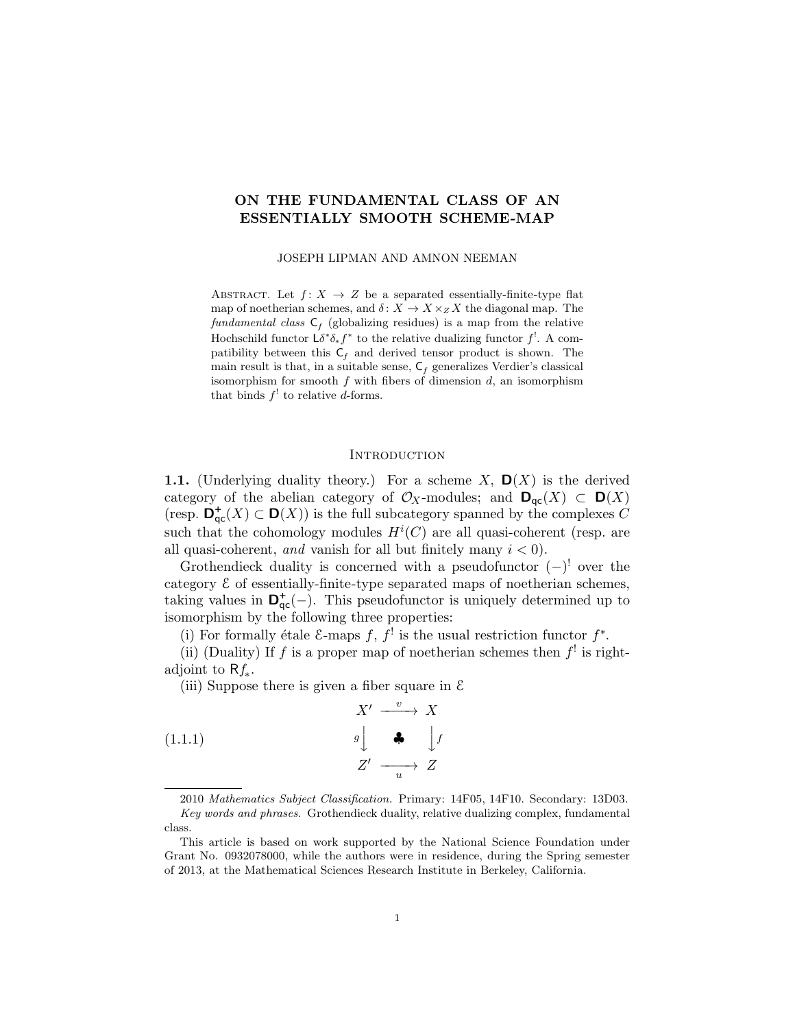# ON THE FUNDAMENTAL CLASS OF AN ESSENTIALLY SMOOTH SCHEME-MAP

JOSEPH LIPMAN AND AMNON NEEMAN

ABSTRACT. Let  $f: X \rightarrow Z$  be a separated essentially-finite-type flat map of noetherian schemes, and  $\delta: X \to X \times_Z X$  the diagonal map. The fundamental class  $C_f$  (globalizing residues) is a map from the relative Hochschild functor  $\mathsf{L} \delta^* \delta_* f^*$  to the relative dualizing functor  $f^!$ . A compatibility between this  $C_f$  and derived tensor product is shown. The main result is that, in a suitable sense,  $C_f$  generalizes Verdier's classical isomorphism for smooth  $f$  with fibers of dimension  $d$ , an isomorphism that binds  $f'$  to relative d-forms.

#### **INTRODUCTION**

**1.1.** (Underlying duality theory.) For a scheme X,  $\mathbf{D}(X)$  is the derived category of the abelian category of  $\mathcal{O}_X$ -modules; and  $\mathbf{D}_{\mathsf{qc}}(X) \subset \mathbf{D}(X)$ (resp.  $\mathbf{D}_{\mathsf{qc}}^+(X) \subset \mathbf{D}(X)$ ) is the full subcategory spanned by the complexes C such that the cohomology modules  $H^{i}(C)$  are all quasi-coherent (resp. are all quasi-coherent, and vanish for all but finitely many  $i < 0$ ).

Grothendieck duality is concerned with a pseudofunctor  $(-)^{!}$  over the category E of essentially-finite-type separated maps of noetherian schemes, taking values in  $\mathbf{D}_{\mathsf{qc}}^+(-)$ . This pseudofunctor is uniquely determined up to isomorphism by the following three properties:

(i) For formally étale  $\mathcal{E}$ -maps  $f, f^!$  is the usual restriction functor  $f^*$ .

(ii) (Duality) If f is a proper map of noetherian schemes then  $f^!$  is rightadjoint to  $Rf_*$ .

(iii) Suppose there is given a fiber square in  $\mathcal E$ 

$$
\begin{array}{ccc}\n & X' & \xrightarrow{v} & X \\
 & \downarrow & & \\
 & \downarrow & & \\
 & Z' & \xrightarrow{u} & Z\n\end{array}
$$
\n
$$
\begin{array}{ccc}\n \downarrow & & \\
 & \downarrow & \\
 & Z' & \xrightarrow{u} & Z\n\end{array}
$$

<sup>2010</sup> Mathematics Subject Classification. Primary: 14F05, 14F10. Secondary: 13D03. Key words and phrases. Grothendieck duality, relative dualizing complex, fundamental class.

This article is based on work supported by the National Science Foundation under Grant No. 0932078000, while the authors were in residence, during the Spring semester of 2013, at the Mathematical Sciences Research Institute in Berkeley, California.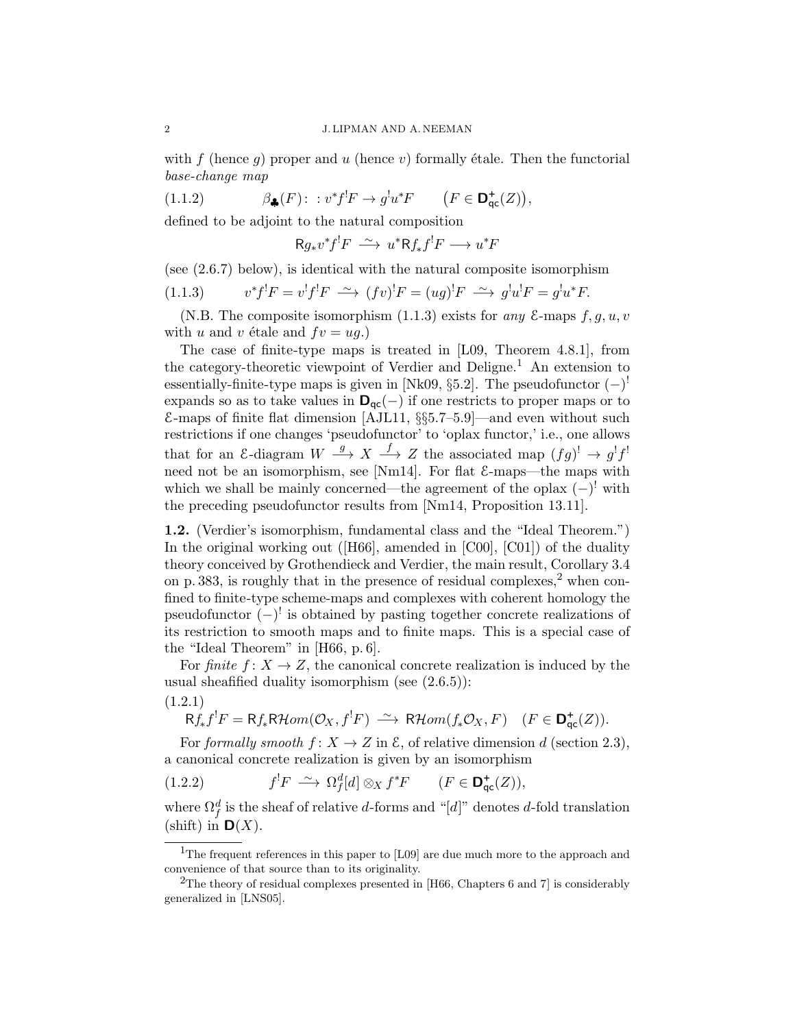with f (hence g) proper and u (hence v) formally étale. Then the functorial base-change map

(1.1.2)  $\beta_{\clubsuit}(F)$ :  $v^*f^!F \to g^!u^*F$   $(F \in \mathbf{D}^+_{\mathsf{qc}}(Z)),$ 

defined to be adjoint to the natural composition

 $Rg_*v^*f^!F \longrightarrow u^*Rf_*f^!F \longrightarrow u^*F$ 

(see (2.6.7) below), is identical with the natural composite isomorphism

$$
(1.1.3) \t v^* f^! F = v^! f^! F \xrightarrow{\sim} (f v)^! F = (u g)^! F \xrightarrow{\sim} g^! u^! F = g^! u^* F.
$$

(N.B. The composite isomorphism  $(1.1.3)$  exists for any  $\mathcal{E}$ -maps  $f, g, u, v$ with u and v étale and  $fv = ug.$ )

The case of finite-type maps is treated in [L09, Theorem 4.8.1], from the category-theoretic viewpoint of Verdier and Deligne.<sup>1</sup> An extension to essentially-finite-type maps is given in [Nk09, §5.2]. The pseudofunctor  $(-)^!$ expands so as to take values in  $D_{qc}(-)$  if one restricts to proper maps or to  $E$ -maps of finite flat dimension [AJL11, §§5.7–5.9]—and even without such restrictions if one changes 'pseudofunctor' to 'oplax functor,' i.e., one allows that for an E-diagram  $W \stackrel{g}{\longrightarrow} X \stackrel{f}{\longrightarrow} Z$  the associated map  $(fg)^! \rightarrow g^!f^!$ need not be an isomorphism, see [Nm14]. For flat  $\&$ -maps—the maps with which we shall be mainly concerned—the agreement of the oplax  $(-)^{!}$  with the preceding pseudofunctor results from [Nm14, Proposition 13.11].

1.2. (Verdier's isomorphism, fundamental class and the "Ideal Theorem.") In the original working out ( $[H66]$ , amended in [C00], [C01]) of the duality theory conceived by Grothendieck and Verdier, the main result, Corollary 3.4 on p. 383, is roughly that in the presence of residual complexes,<sup>2</sup> when confined to finite-type scheme-maps and complexes with coherent homology the pseudofunctor  $(-)^{!}$  is obtained by pasting together concrete realizations of its restriction to smooth maps and to finite maps. This is a special case of the "Ideal Theorem" in [H66, p. 6].

For finite  $f: X \to Z$ , the canonical concrete realization is induced by the usual sheafified duality isomorphism (see (2.6.5)):

(1.2.1)

$$
\mathsf{R}f_*f^!F = \mathsf{R}f_*\mathsf{R}\mathcal{H}\text{om}(\mathcal{O}_X, f^!F) \xrightarrow{\sim} \mathsf{R}\mathcal{H}\text{om}(f_*\mathcal{O}_X, F) \quad (F \in \mathsf{D}^+_{\mathsf{qc}}(Z)).
$$

For formally smooth  $f: X \to Z$  in  $\mathcal{E}$ , of relative dimension d (section 2.3), a canonical concrete realization is given by an isomorphism

(1.2.2) 
$$
f^!F \stackrel{\sim}{\longrightarrow} \Omega_f^d[d] \otimes_X f^*F \qquad (F \in \mathbf{D}^+_{\mathsf{qc}}(Z)),
$$

where  $\Omega_f^d$  is the sheaf of relative d-forms and "[d]" denotes d-fold translation (shift) in  $\mathbf{D}(X)$ .

<sup>&</sup>lt;sup>1</sup>The frequent references in this paper to [L09] are due much more to the approach and convenience of that source than to its originality.

<sup>&</sup>lt;sup>2</sup>The theory of residual complexes presented in [H66, Chapters 6 and 7] is considerably generalized in [LNS05].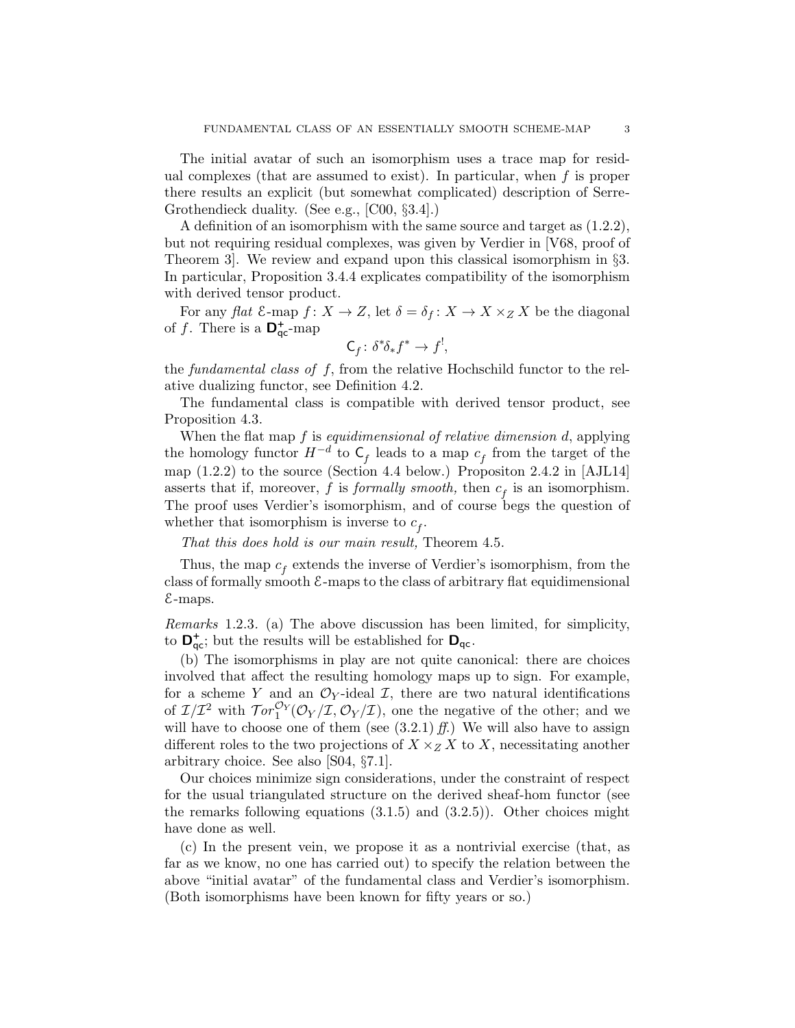The initial avatar of such an isomorphism uses a trace map for residual complexes (that are assumed to exist). In particular, when  $f$  is proper there results an explicit (but somewhat complicated) description of Serre-Grothendieck duality. (See e.g., [C00, §3.4].)

A definition of an isomorphism with the same source and target as (1.2.2), but not requiring residual complexes, was given by Verdier in [V68, proof of Theorem 3]. We review and expand upon this classical isomorphism in §3. In particular, Proposition 3.4.4 explicates compatibility of the isomorphism with derived tensor product.

For any flat  $\mathcal{E}$ -map  $f: X \to Z$ , let  $\delta = \delta_f: X \to X \times_Z X$  be the diagonal of f. There is a  $\mathbf{D}_{\text{qc}}^+$ -map

$$
C_f \colon \delta^* \delta_* f^* \to f^!,
$$

the fundamental class of  $f$ , from the relative Hochschild functor to the relative dualizing functor, see Definition 4.2.

The fundamental class is compatible with derived tensor product, see Proposition 4.3.

When the flat map  $f$  is *equidimensional of relative dimension d*, applying the homology functor  $H^{-d}$  to  $C_f$  leads to a map  $c_f$  from the target of the map (1.2.2) to the source (Section 4.4 below.) Propositon 2.4.2 in [AJL14] asserts that if, moreover, f is formally smooth, then  $c_f$  is an isomorphism. The proof uses Verdier's isomorphism, and of course begs the question of whether that isomorphism is inverse to  $c_f$ .

That this does hold is our main result, Theorem 4.5.

Thus, the map  $c_f$  extends the inverse of Verdier's isomorphism, from the class of formally smooth  $\epsilon$ -maps to the class of arbitrary flat equidimensional E-maps.

Remarks 1.2.3. (a) The above discussion has been limited, for simplicity, to  $\mathbf{D}_{\mathsf{qc}}^+$ ; but the results will be established for  $\mathbf{D}_{\mathsf{qc}}$ .

(b) The isomorphisms in play are not quite canonical: there are choices involved that affect the resulting homology maps up to sign. For example, for a scheme Y and an  $\mathcal{O}_Y$ -ideal I, there are two natural identifications of  $\mathcal{I}/\mathcal{I}^2$  with  $\mathcal{T}or_1^{\mathcal{O}_Y}(\mathcal{O}_Y/\mathcal{I}, \mathcal{O}_Y/\mathcal{I})$ , one the negative of the other; and we will have to choose one of them (see  $(3.2.1)$  ff.) We will also have to assign different roles to the two projections of  $X \times_Z X$  to X, necessitating another arbitrary choice. See also [S04, §7.1].

Our choices minimize sign considerations, under the constraint of respect for the usual triangulated structure on the derived sheaf-hom functor (see the remarks following equations  $(3.1.5)$  and  $(3.2.5)$ ). Other choices might have done as well.

(c) In the present vein, we propose it as a nontrivial exercise (that, as far as we know, no one has carried out) to specify the relation between the above "initial avatar" of the fundamental class and Verdier's isomorphism. (Both isomorphisms have been known for fifty years or so.)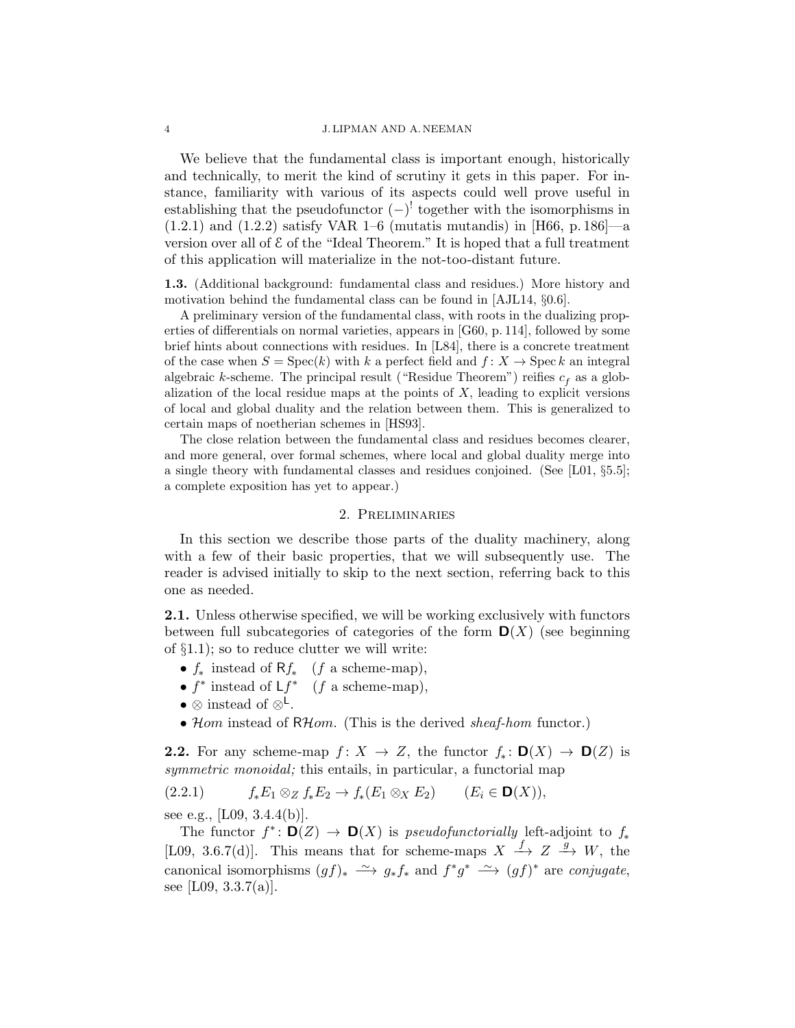#### 4 J. LIPMAN AND A. NEEMAN

We believe that the fundamental class is important enough, historically and technically, to merit the kind of scrutiny it gets in this paper. For instance, familiarity with various of its aspects could well prove useful in establishing that the pseudofunctor  $(-)^!$  together with the isomorphisms in  $(1.2.1)$  and  $(1.2.2)$  satisfy VAR 1–6 (mutatis mutandis) in [H66, p. 186]—a version over all of E of the "Ideal Theorem." It is hoped that a full treatment of this application will materialize in the not-too-distant future.

1.3. (Additional background: fundamental class and residues.) More history and motivation behind the fundamental class can be found in [AJL14, §0.6].

A preliminary version of the fundamental class, with roots in the dualizing properties of differentials on normal varieties, appears in [G60, p. 114], followed by some brief hints about connections with residues. In [L84], there is a concrete treatment of the case when  $S = \text{Spec}(k)$  with k a perfect field and  $f: X \to \text{Spec } k$  an integral algebraic *k*-scheme. The principal result ("Residue Theorem") reifies  $c_f$  as a globalization of the local residue maps at the points of  $X$ , leading to explicit versions of local and global duality and the relation between them. This is generalized to certain maps of noetherian schemes in [HS93].

The close relation between the fundamental class and residues becomes clearer, and more general, over formal schemes, where local and global duality merge into a single theory with fundamental classes and residues conjoined. (See [L01, §5.5]; a complete exposition has yet to appear.)

### 2. Preliminaries

In this section we describe those parts of the duality machinery, along with a few of their basic properties, that we will subsequently use. The reader is advised initially to skip to the next section, referring back to this one as needed.

2.1. Unless otherwise specified, we will be working exclusively with functors between full subcategories of categories of the form  $\mathbf{D}(X)$  (see beginning of §1.1); so to reduce clutter we will write:

- $f_*$  instead of  $Rf_*$  (f a scheme-map),
- $f^*$  instead of  $Lf^*$  (f a scheme-map),
- ⊗ instead of  $\otimes^{\mathsf{L}}$ .
- Hom instead of RHom. (This is the derived sheaf-hom functor.)

**2.2.** For any scheme-map  $f: X \to Z$ , the functor  $f_*: \mathbf{D}(X) \to \mathbf{D}(Z)$  is symmetric monoidal; this entails, in particular, a functorial map

$$
(2.2.1) \t f_*E_1\otimes_Z f_*E_2\to f_*(E_1\otimes_X E_2) \t (E_i\in \mathbf{D}(X)),
$$

see e.g., [L09,  $3.4.4(b)$ ].

The functor  $f^* \colon \mathbf{D}(Z) \to \mathbf{D}(X)$  is pseudofunctorially left-adjoint to  $f_*$ [L09, 3.6.7(d)]. This means that for scheme-maps  $X \stackrel{f}{\longrightarrow} Z \stackrel{g}{\longrightarrow} W$ , the canonical isomorphisms  $(gf)_* \longrightarrow g_*f_*$  and  $f^*g^* \longrightarrow (gf)^*$  are *conjugate*, see [L09,  $3.3.7(a)$ ].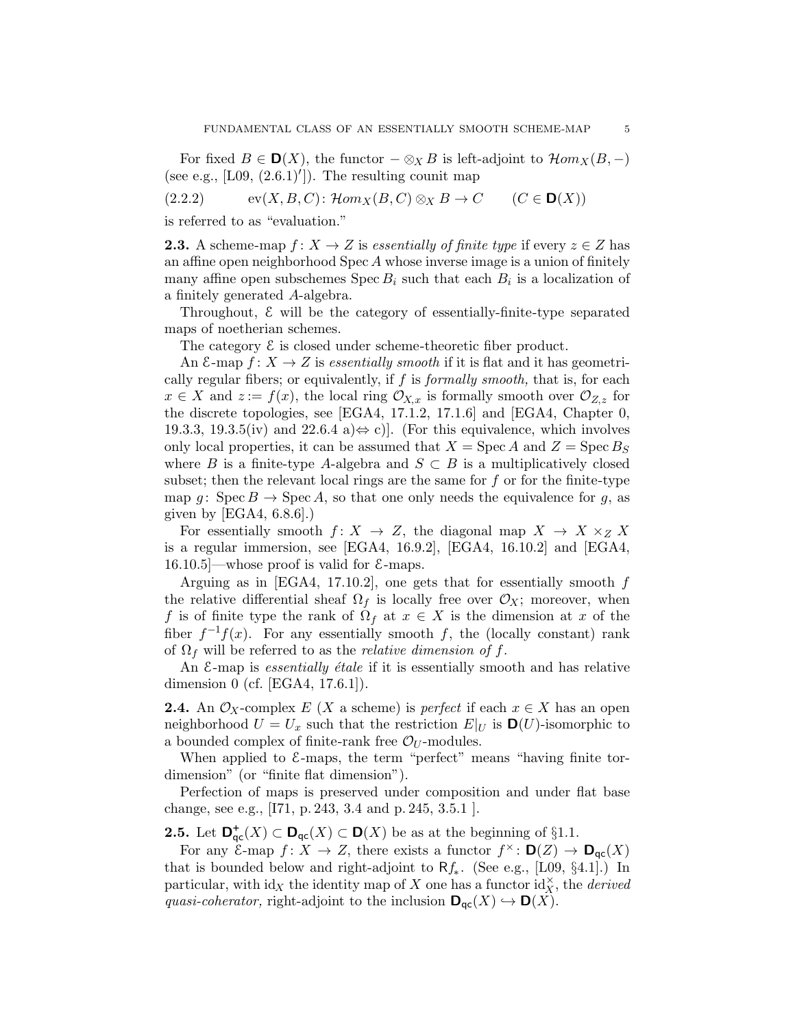For fixed  $B \in \mathbf{D}(X)$ , the functor  $-\otimes_X B$  is left-adjoint to  $\mathcal{H}om_X(B,-)$ (see e.g.,  $[L09, (2.6.1)']$ ). The resulting counit map

 $(2.2.2)$  ev $(X, B, C)$ :  $\mathcal{H}om_X(B, C) \otimes_X B \to C$   $(C \in \mathbf{D}(X))$ 

is referred to as "evaluation."

**2.3.** A scheme-map  $f: X \to Z$  is essentially of finite type if every  $z \in Z$  has an affine open neighborhood  $Spec A$  whose inverse image is a union of finitely many affine open subschemes  $Spec B_i$  such that each  $B_i$  is a localization of a finitely generated A-algebra.

Throughout, E will be the category of essentially-finite-type separated maps of noetherian schemes.

The category  $\mathcal E$  is closed under scheme-theoretic fiber product.

An  $\mathcal{E}$ -map  $f: X \to Z$  is essentially smooth if it is flat and it has geometrically regular fibers; or equivalently, if  $f$  is *formally smooth*, that is, for each  $x \in X$  and  $z := f(x)$ , the local ring  $\mathcal{O}_{X,x}$  is formally smooth over  $\mathcal{O}_{Z,z}$  for the discrete topologies, see [EGA4, 17.1.2, 17.1.6] and [EGA4, Chapter 0, 19.3.3, 19.3.5(iv) and  $22.6.4$  a) $\Leftrightarrow$  c). (For this equivalence, which involves only local properties, it can be assumed that  $X = \text{Spec } A$  and  $Z = \text{Spec } B_S$ where B is a finite-type A-algebra and  $S \subset B$  is a multiplicatively closed subset; then the relevant local rings are the same for  $f$  or for the finite-type map g: Spec  $B \to \text{Spec } A$ , so that one only needs the equivalence for g, as given by  $[EGA4, 6.8.6]$ .

For essentially smooth  $f: X \to Z$ , the diagonal map  $X \to X \times_Z X$ is a regular immersion, see [EGA4, 16.9.2], [EGA4, 16.10.2] and [EGA4,  $16.10.5$  —whose proof is valid for  $\mathcal{E}$ -maps.

Arguing as in [EGA4, 17.10.2], one gets that for essentially smooth  $f$ the relative differential sheaf  $\Omega_f$  is locally free over  $\mathcal{O}_X$ ; moreover, when f is of finite type the rank of  $\Omega_f$  at  $x \in X$  is the dimension at x of the fiber  $f^{-1}f(x)$ . For any essentially smooth f, the (locally constant) rank of  $\Omega_f$  will be referred to as the *relative dimension of f*.

An  $\mathcal{E}$ -map is *essentially étale* if it is essentially smooth and has relative dimension 0 (cf. [EGA4, 17.6.1]).

**2.4.** An  $\mathcal{O}_X$ -complex E (X a scheme) is perfect if each  $x \in X$  has an open neighborhood  $U = U_x$  such that the restriction  $E|_U$  is  $\mathbf{D}(U)$ -isomorphic to a bounded complex of finite-rank free  $\mathcal{O}_U$ -modules.

When applied to  $\&$ -maps, the term "perfect" means "having finite tordimension" (or "finite flat dimension").

Perfection of maps is preserved under composition and under flat base change, see e.g., [I71, p. 243, 3.4 and p. 245, 3.5.1 ].

**2.5.** Let  $\mathbf{D}_{\mathsf{qc}}^+(X) \subset \mathbf{D}_{\mathsf{qc}}(X) \subset \mathbf{D}(X)$  be as at the beginning of §1.1.

For any  $\mathcal{E}$ -map  $f: X \to Z$ , there exists a functor  $f^{\times} : \mathbf{D}(Z) \to \mathbf{D}_{\mathsf{qc}}(X)$ that is bounded below and right-adjoint to  $Rf_*$ . (See e.g., [L09, §4.1].) In particular, with  $\mathrm{id}_X$  the identity map of X one has a functor  $\mathrm{id}_X^{\times}$ , the *derived* quasi-coherator, right-adjoint to the inclusion  $\mathbf{D}_{\mathsf{qc}}(X) \hookrightarrow \mathbf{D}(X)$ .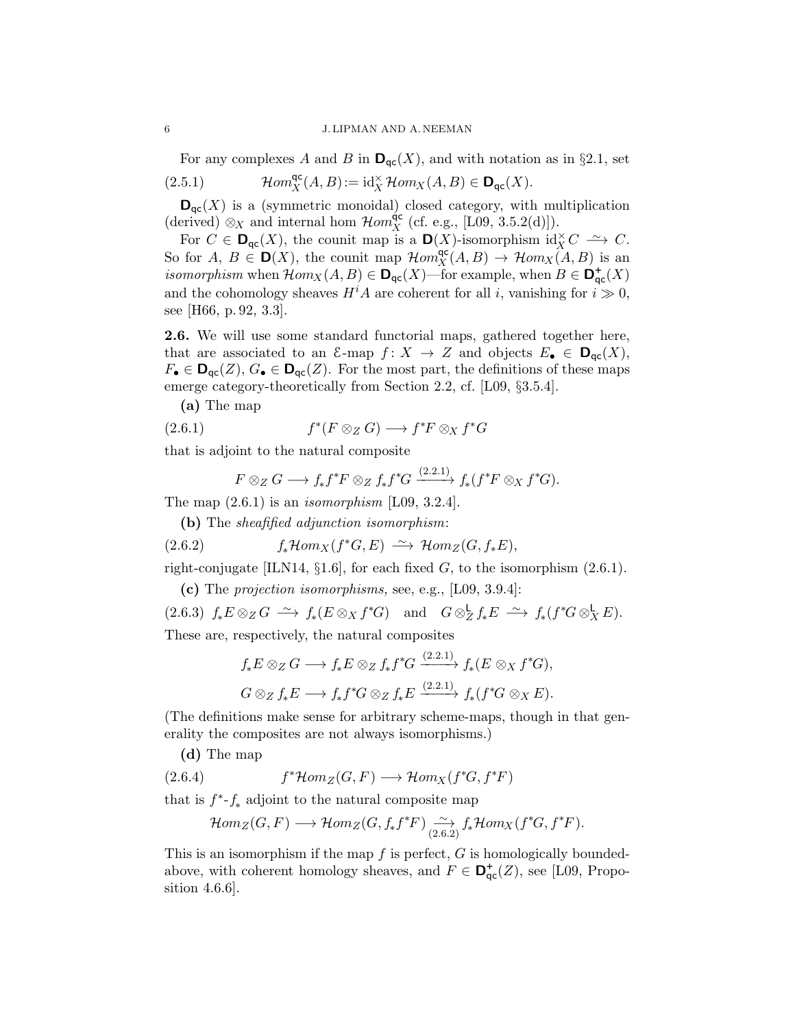For any complexes A and B in  $\mathbf{D}_{\text{qc}}(X)$ , and with notation as in §2.1, set

(2.5.1) 
$$
\mathcal{H}om_X^{\mathsf{qc}}(A,B) := \mathrm{id}_X^{\times} \mathcal{H}om_X(A,B) \in \mathbf{D}_{\mathsf{qc}}(X).
$$

 $\mathbf{D}_{\mathrm{qc}}(X)$  is a (symmetric monoidal) closed category, with multiplication (derived)  $\otimes_X$  and internal hom  $\mathcal{H}om_X^{\text{qc}}$  (cf. e.g., [L09, 3.5.2(d)]).

For  $C \in \mathbf{D}_{\mathsf{qc}}(X)$ , the counit map is a  $\mathbf{D}(X)$ -isomorphism id $_X^{\times} C \longrightarrow C$ . So for  $A, B \in \mathbf{D}(X)$ , the counit map  $\mathcal{H}om_X^{\mathsf{qc}}(A, B) \to \mathcal{H}om_X(A, B)$  is an *isomorphism* when  $\mathcal{H}om_X(A, B) \in \mathbf{D}_{\mathsf{qc}}(X)$ —for example, when  $B \in \mathbf{D}_{\mathsf{qc}}^+(X)$ and the cohomology sheaves  $H^iA$  are coherent for all i, vanishing for  $i \gg 0$ , see [H66, p. 92, 3.3].

2.6. We will use some standard functorial maps, gathered together here, that are associated to an  $\mathcal{E}-\text{map } f: X \to Z$  and objects  $E_{\bullet} \in \mathbf{D}_{\mathsf{qc}}(X)$ ,  $F_{\bullet} \in \mathbf{D}_{\mathsf{qc}}(Z), G_{\bullet} \in \mathbf{D}_{\mathsf{qc}}(Z)$ . For the most part, the definitions of these maps emerge category-theoretically from Section 2.2, cf. [L09, §3.5.4].

(a) The map

(2.6.1) 
$$
f^*(F \otimes_Z G) \longrightarrow f^*F \otimes_X f^*G
$$

that is adjoint to the natural composite

$$
F\otimes_Z G \longrightarrow f_*f^*F\otimes_Z f_*f^*G \xrightarrow{(2.2.1)} f_*(f^*F\otimes_X f^*G).
$$

The map  $(2.6.1)$  is an *isomorphism* [L09, 3.2.4].

(b) The sheafified adjunction isomorphism:

(2.6.2) 
$$
f_*\mathcal{H}om_X(f^*G,E) \xrightarrow{\sim} \mathcal{H}om_Z(G, f_*E),
$$

right-conjugate [ILN14,  $\S1.6$ ], for each fixed G, to the isomorphism (2.6.1).

(c) The projection isomorphisms, see, e.g., [L09, 3.9.4]:

 $(2.6.3)$   $f_*E \otimes_Z G \longrightarrow f_*(E \otimes_X f^*G)$  and  $G \otimes_Z^{\mathsf{L}} f_*E \longrightarrow f_*(f^*G \otimes_X^{\mathsf{L}} E).$ These are, respectively, the natural composites

$$
f_*E \otimes_Z G \longrightarrow f_*E \otimes_Z f_*f^*G \xrightarrow{(2.2.1)} f_*(E \otimes_X f^*G),
$$
  

$$
G \otimes_Z f_*E \longrightarrow f_*f^*G \otimes_Z f_*E \xrightarrow{(2.2.1)} f_*(f^*G \otimes_X E).
$$

(The definitions make sense for arbitrary scheme-maps, though in that generality the composites are not always isomorphisms.)

(d) The map

(2.6.4) 
$$
f^* \mathcal{H}om_Z(G, F) \longrightarrow \mathcal{H}om_X(f^*G, f^*F)
$$

that is  $f^*$ - $f_*$  adjoint to the natural composite map

$$
\mathcal{H}om_Z(G,F)\longrightarrow \mathcal{H}om_Z(G,f_*f^*F)\underset{(2.6.2)}{\xrightarrow{\sim}} f_*\mathcal{H}om_X(f^*G,f^*F).
$$

This is an isomorphism if the map  $f$  is perfect,  $G$  is homologically boundedabove, with coherent homology sheaves, and  $F \in \mathbf{D}_{\mathrm{qc}}^+(Z)$ , see [L09, Proposition 4.6.6].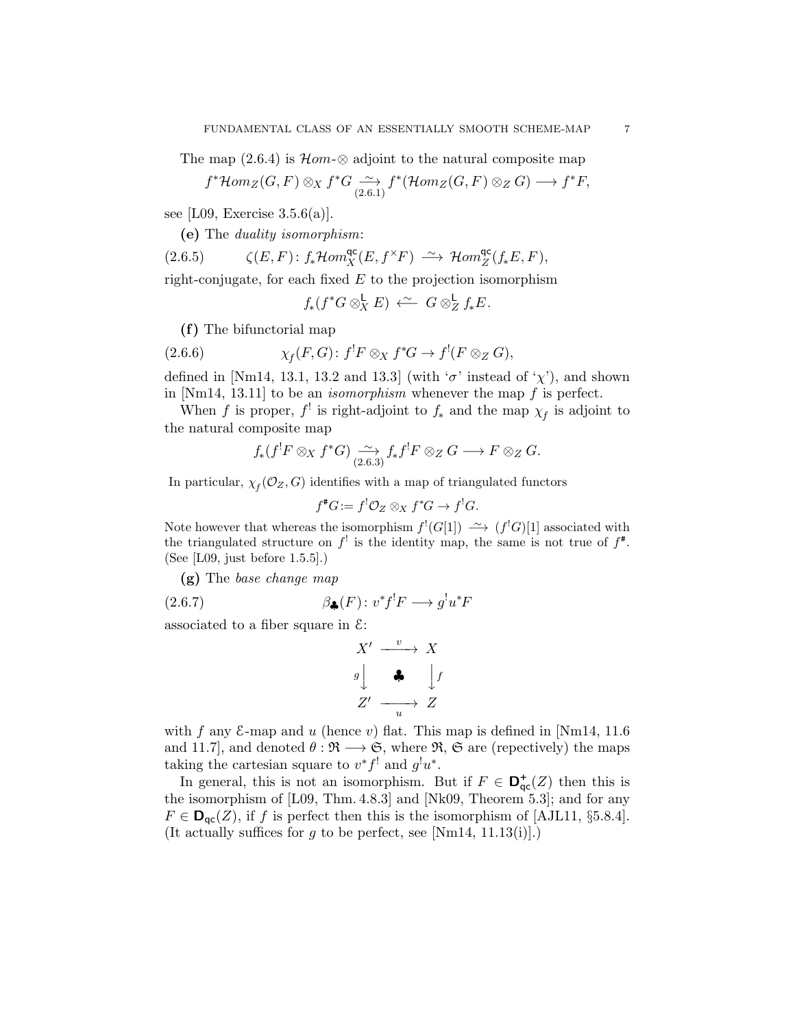The map  $(2.6.4)$  is  $\mathcal{H}om-\otimes$  adjoint to the natural composite map

$$
f^* \mathcal{H}om_Z(G, F) \otimes_X f^* G \xrightarrow[2.6.1]{} f^* (\mathcal{H}om_Z(G, F) \otimes_Z G) \longrightarrow f^* F
$$

see [L09, Exercise  $3.5.6(a)$ ].

(e) The duality isomorphism:

$$
(2.6.5) \qquad \zeta(E,F) \colon f_*\mathcal{H}om^{\mathrm{qc}}_X(E,f^{\times}F) \ \xrightarrow{\sim} \ \mathcal{H}om^{\mathrm{qc}}_Z(f_*E,F),
$$

right-conjugate, for each fixed  $E$  to the projection isomorphism

$$
f_*(f^*G \otimes_X^{\mathsf{L}} E) \stackrel{\sim}{\longleftarrow} G \otimes_Z^{\mathsf{L}} f_*E.
$$

(f) The bifunctorial map

(2.6.6) 
$$
\chi_f(F,G): f^!F \otimes_X f^*G \to f^!(F \otimes_Z G),
$$

defined in [Nm14, 13.1, 13.2 and 13.3] (with ' $\sigma$ ' instead of ' $\chi$ '), and shown in [Nm14, 13.11] to be an *isomorphism* whenever the map  $f$  is perfect.

When f is proper,  $f^!$  is right-adjoint to  $f_*$  and the map  $\chi_f$  is adjoint to the natural composite map

$$
f_*(f^!F \otimes_X f^*G) \xrightarrow{(2.6.3)} f_*f^!F \otimes_Z G \longrightarrow F \otimes_Z G.
$$

In particular,  $\chi_f(\mathcal{O}_Z, G)$  identifies with a map of triangulated functors

$$
f^*G := f^! \mathcal{O}_Z \otimes_X f^*G \to f^!G.
$$

Note however that whereas the isomorphism  $f'(G[1]) \longrightarrow (f'G)[1]$  associated with the triangulated structure on  $f^!$  is the identity map, the same is not true of  $f^*$ . (See [L09, just before 1.5.5].)

(g) The base change map

(2.6.7) 
$$
\beta_{\clubsuit}(F) : v^* f^! F \longrightarrow g^! u^* F
$$

associated to a fiber square in  $\mathcal{E}$ :

$$
X' \xrightarrow{v} X
$$
  

$$
g \downarrow \qquad \clubsuit \qquad \downarrow f
$$
  

$$
Z' \xrightarrow{u} Z
$$

with f any  $\&$ -map and u (hence v) flat. This map is defined in [Nm14, 11.6] and 11.7], and denoted  $\theta : \mathfrak{R} \longrightarrow \mathfrak{S}$ , where  $\mathfrak{R}, \mathfrak{S}$  are (repectively) the maps taking the cartesian square to  $v^*f^!$  and  $g^!u^*$ .

In general, this is not an isomorphism. But if  $F \in \mathbf{D}_{\mathsf{qc}}^{\mathsf{+}}(Z)$  then this is the isomorphism of [L09, Thm. 4.8.3] and [Nk09, Theorem 5.3]; and for any  $F \in \mathbf{D}_{\mathsf{qc}}(Z)$ , if f is perfect then this is the isomorphism of [AJL11, §5.8.4]. (It actually suffices for g to be perfect, see [Nm14, 11.13(i)].)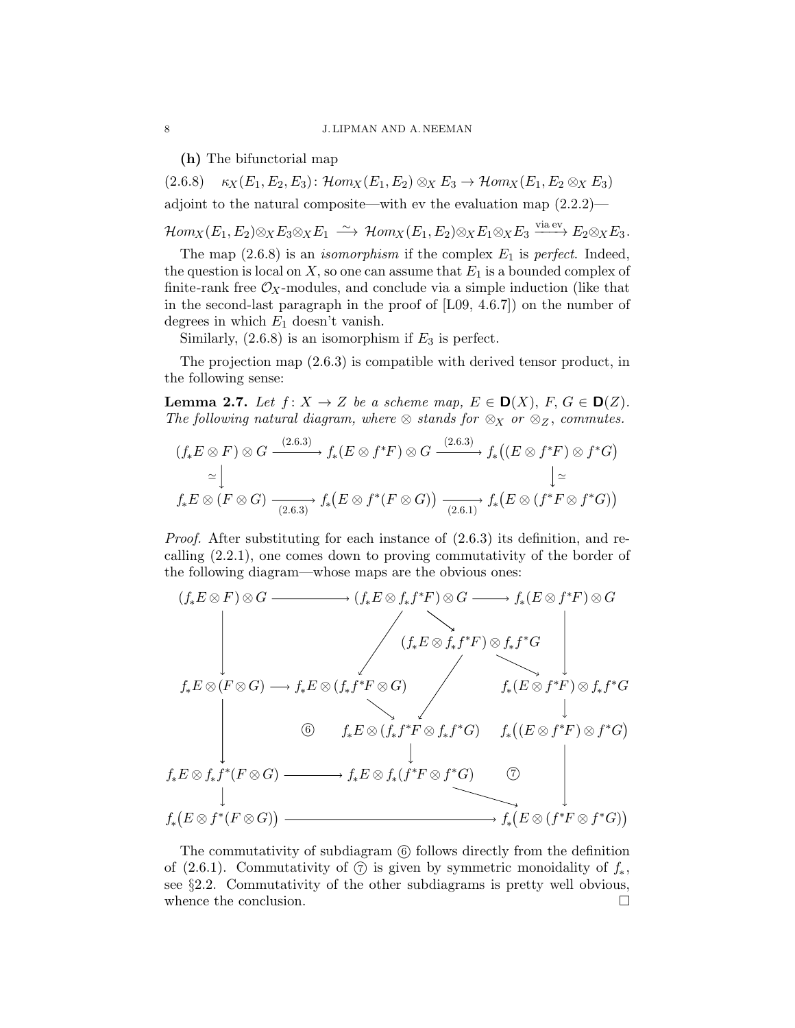(h) The bifunctorial map

 $(2.6.8)$   $\kappa_X(E_1, E_2, E_3)$ :  $\mathcal{H}om_X(E_1, E_2) \otimes_X E_3 \to \mathcal{H}om_X(E_1, E_2 \otimes_X E_3)$ adjoint to the natural composite—with ev the evaluation map (2.2.2)—

 $\mathcal{H}om_X(E_1,E_2) \otimes_X E_3 \otimes_X E_1 \; \stackrel{\sim}{\longrightarrow} \; \mathcal{H}om_X(E_1,E_2) \otimes_X E_1 \otimes_X E_3 \stackrel{\text{via ev}}{\longrightarrow} E_2 \otimes_X E_3.$ 

The map  $(2.6.8)$  is an *isomorphism* if the complex  $E_1$  is perfect. Indeed, the question is local on  $X$ , so one can assume that  $E_1$  is a bounded complex of finite-rank free  $\mathcal{O}_X$ -modules, and conclude via a simple induction (like that in the second-last paragraph in the proof of [L09, 4.6.7]) on the number of degrees in which  $E_1$  doesn't vanish.

Similarly,  $(2.6.8)$  is an isomorphism if  $E_3$  is perfect.

The projection map (2.6.3) is compatible with derived tensor product, in the following sense:

**Lemma 2.7.** Let  $f: X \to Z$  be a scheme map,  $E \in D(X)$ ,  $F, G \in D(Z)$ . The following natural diagram, where  $\otimes$  stands for  $\otimes_X$  or  $\otimes_Z$ , commutes.

$$
(f_*E \otimes F) \otimes G \xrightarrow{(2.6.3)} f_*(E \otimes f^*F) \otimes G \xrightarrow{(2.6.3)} f_*((E \otimes f^*F) \otimes f^*G)
$$
  
\n
$$
\simeq \downarrow \qquad \qquad \downarrow \simeq
$$
  
\n
$$
f_*E \otimes (F \otimes G) \xrightarrow{(2.6.3)} f_*(E \otimes f^*(F \otimes G)) \xrightarrow{(2.6.1)} f_*(E \otimes (f^*F \otimes f^*G))
$$

Proof. After substituting for each instance of (2.6.3) its definition, and recalling (2.2.1), one comes down to proving commutativity of the border of the following diagram—whose maps are the obvious ones:

$$
(f_*E \otimes F) \otimes G \longrightarrow (f_*E \otimes f_*f^*F) \otimes G \longrightarrow f_*(E \otimes f^*F) \otimes G
$$
\n
$$
f_*E \otimes (F \otimes G) \longrightarrow f_*E \otimes (f_*f^*F \otimes G) \qquad f_*(E \otimes f^*F) \otimes f_*f^*G
$$
\n
$$
\begin{array}{ccc}\n & & \\
 \downarrow & & \\
 \downarrow & & \\
 f_*E \otimes f_*f^*(F \otimes G) \longrightarrow & f_*E \otimes (f_*f^*F \otimes f_*f^*G) & f_*((E \otimes f^*F) \otimes f^*G) \\
 & & & \\
 f_*E \otimes f_*f^*(F \otimes G) \longrightarrow & f_*E \otimes f_*(f^*F \otimes f^*G) & \n \end{array}
$$
\n
$$
f_*\left(E \otimes f^*(F \otimes G)\right) \longrightarrow f_*E \otimes f_*(f^*F \otimes f^*G) \qquad \qquad \uparrow_{\ast}(E \otimes (f^*F \otimes f^*G))
$$

The commutativity of subdiagram 6 follows directly from the definition of (2.6.1). Commutativity of  $\circled{7}$  is given by symmetric monoidality of  $f_*$ , see §2.2. Commutativity of the other subdiagrams is pretty well obvious, whence the conclusion.  $\Box$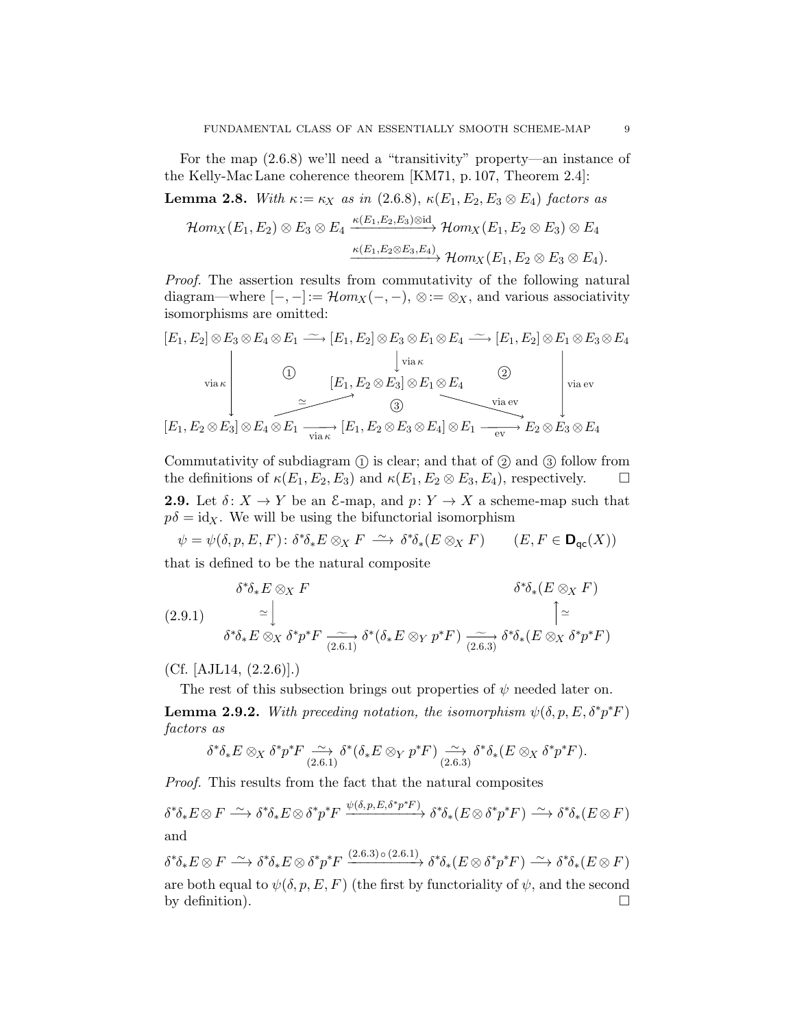For the map (2.6.8) we'll need a "transitivity" property—an instance of the Kelly-Mac Lane coherence theorem [KM71, p. 107, Theorem 2.4]:

**Lemma 2.8.** With  $\kappa := \kappa_X$  as in (2.6.8),  $\kappa(E_1, E_2, E_3 \otimes E_4)$  factors as

$$
\mathcal{H}om_X(E_1,E_2)\otimes E_3\otimes E_4 \xrightarrow{\kappa(E_1,E_2,E_3)\otimes \mathrm{id}} \mathcal{H}om_X(E_1,E_2\otimes E_3)\otimes E_4\\\xrightarrow{\kappa(E_1,E_2\otimes E_3,E_4)} \mathcal{H}om_X(E_1,E_2\otimes E_3\otimes E_4).
$$

Proof. The assertion results from commutativity of the following natural diagram—where  $[-, -]:={\mathcal H}om_X(-, -), \otimes:={\otimes}_X$ , and various associativity isomorphisms are omitted:

$$
[E_1, E_2] \otimes E_3 \otimes E_4 \otimes E_1 \xrightarrow{\sim} [E_1, E_2] \otimes E_3 \otimes E_1 \otimes E_4 \xrightarrow{\sim} [E_1, E_2] \otimes E_1 \otimes E_3 \otimes E_4
$$
  
\n
$$
\downarrow \text{via } \kappa
$$
  
\n
$$
[E_1, E_2 \otimes E_3] \otimes E_1 \otimes E_4 \xrightarrow{\sim} [E_1, E_2 \otimes E_3 \otimes E_4] \otimes E_1 \xrightarrow{\text{via } \kappa} E_2 \otimes E_3 \otimes E_4
$$
  
\n
$$
[E_1, E_2 \otimes E_3] \otimes E_4 \otimes E_1 \xrightarrow{\sim} [E_1, E_2 \otimes E_3 \otimes E_4] \otimes E_1 \xrightarrow{\text{via } \kappa} E_2 \otimes E_3 \otimes E_4
$$

Commutativity of subdiagram  $(1)$  is clear; and that of  $(2)$  and  $(3)$  follow from the definitions of  $\kappa(E_1, E_2, E_3)$  and  $\kappa(E_1, E_2 \otimes E_3, E_4)$ , respectively.  $\Box$ **2.9.** Let  $\delta: X \to Y$  be an  $\mathcal{E}$ -map, and  $p: Y \to X$  a scheme-map such that  $p\delta = \text{id}_X$ . We will be using the bifunctorial isomorphism

 $\psi = \psi(\delta, p, E, F) : \delta^* \delta_* E \otimes_X F \longrightarrow \delta^* \delta_* (E \otimes_X F)$   $(E, F \in \mathbf{D}_{\mathsf{qc}}(X))$ that is defined to be the natural composite

$$
\delta^*\delta_* E \otimes_X F
$$
\n
$$
(2.9.1) \quad \simeq \bigcup_{\delta^*\delta_* E \otimes_X \delta^* p^* F} \xrightarrow[\simeq 0.6]{\simeq} \delta^*(\delta_* E \otimes_Y p^* F) \xrightarrow[\simeq 0.6]{\simeq} \delta^*\delta_*(E \otimes_X \delta^* p^* F)
$$

(Cf. [AJL14, (2.2.6)].)

The rest of this subsection brings out properties of  $\psi$  needed later on.

**Lemma 2.9.2.** With preceding notation, the isomorphism  $\psi(\delta, p, E, \delta^* p^* F)$ factors as

$$
\delta^*\delta_*E \otimes_X \delta^*p^*F \xrightarrow[2.6.1]{} \delta^*(\delta_*E \otimes_Y p^*F) \xrightarrow[2.6.3]{} \delta^*\delta_*(E \otimes_X \delta^*p^*F).
$$

Proof. This results from the fact that the natural composites

$$
\delta^*\delta_* E \otimes F \xrightarrow{\sim} \delta^*\delta_* E \otimes \delta^* p^* F \xrightarrow{\psi(\delta, p, E, \delta^* p^* F)} \delta^*\delta_* (E \otimes \delta^* p^* F) \xrightarrow{\sim} \delta^*\delta_* (E \otimes F)
$$
  
and

 $\delta^*\delta_*E\otimes F \stackrel{\sim}{\longrightarrow} \delta^*\delta_*E\otimes \delta^*p^*F \xrightarrow{(2.6.3)\,\circ\,(2.6.1)} \delta^*\delta_*(E\otimes \delta^*p^*F) \stackrel{\sim}{\longrightarrow} \delta^*\delta_*(E\otimes F)$ are both equal to  $\psi(\delta, p, E, F)$  (the first by functoriality of  $\psi$ , and the second by definition).  $\Box$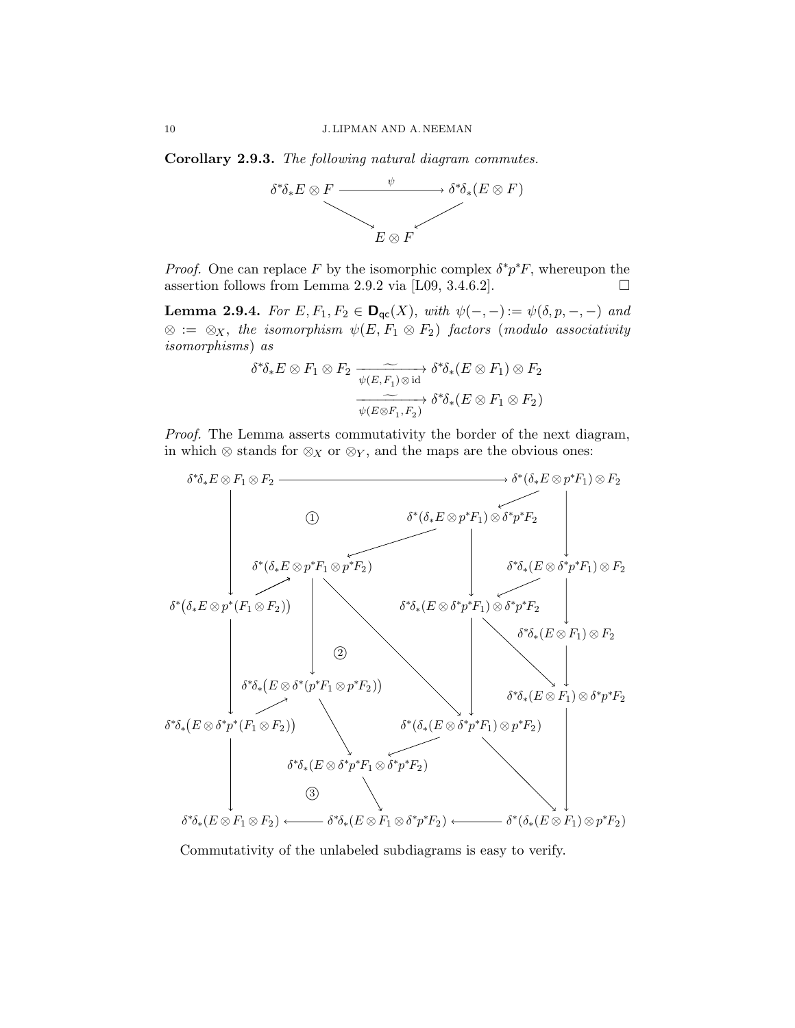Corollary 2.9.3. The following natural diagram commutes.



*Proof.* One can replace F by the isomorphic complex  $\delta^* p^* F$ , whereupon the assertion follows from Lemma 2.9.2 via [L09, 3.4.6.2].

**Lemma 2.9.4.** For  $E, F_1, F_2 \in \mathbf{D}_{\mathsf{qc}}(X)$ , with  $\psi(-,-) := \psi(\delta, p, -, -)$  and  $\otimes \ := \ \otimes_X, \ \textit{the \ isomorphism} \ \ \psi(E,F_1 \otimes F_2) \ \ \textit{factors \ (modulo \ associativity}$ isomorphisms) as

$$
\delta^*\delta_*E \otimes F_1 \otimes F_2 \xrightarrow[\psi(E,F_1) \otimes id]{} \delta^*\delta_*(E \otimes F_1) \otimes F_2
$$

$$
\xrightarrow[\psi(E \otimes F_1, F_2)]{} \delta^*\delta_*(E \otimes F_1 \otimes F_2)
$$

Proof. The Lemma asserts commutativity the border of the next diagram, in which  $\otimes$  stands for  $\otimes_X$  or  $\otimes_Y$ , and the maps are the obvious ones:



Commutativity of the unlabeled subdiagrams is easy to verify.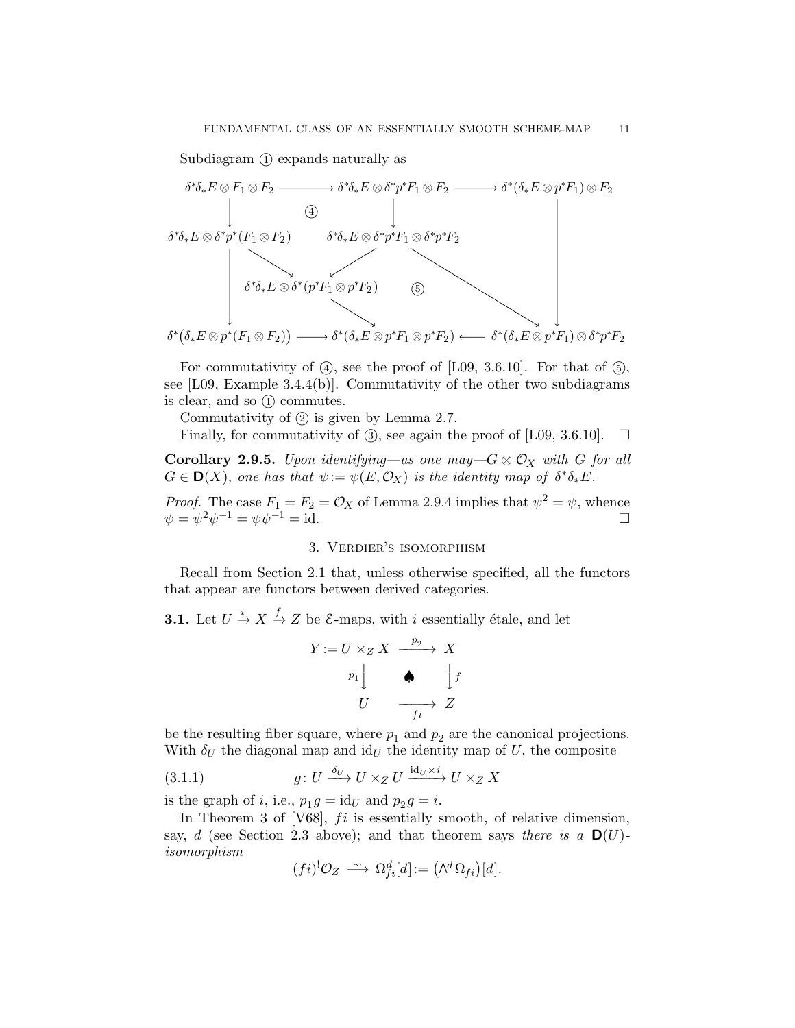Subdiagram  $(1)$  expands naturally as



For commutativity of  $(4)$ , see the proof of [L09, 3.6.10]. For that of  $(5)$ , see [L09, Example 3.4.4(b)]. Commutativity of the other two subdiagrams is clear, and so  $(1)$  commutes.

Commutativity of  $(2)$  is given by Lemma 2.7.

Finally, for commutativity of  $(3)$ , see again the proof of [L09, 3.6.10].  $\Box$ 

**Corollary 2.9.5.** Upon identifying—as one may— $G \otimes \mathcal{O}_X$  with G for all  $G \in \mathbf{D}(X)$ , one has that  $\psi := \psi(E, \mathcal{O}_X)$  is the identity map of  $\delta^* \delta_* E$ .

*Proof.* The case  $F_1 = F_2 = \mathcal{O}_X$  of Lemma 2.9.4 implies that  $\psi^2 = \psi$ , whence  $\psi = \psi^2 \psi^{-1} = \psi \psi^{-1} = \text{id}.$ 

#### 3. Verdier's isomorphism

Recall from Section 2.1 that, unless otherwise specified, all the functors that appear are functors between derived categories.

**3.1.** Let  $U \xrightarrow{i} X \xrightarrow{f} Z$  be  $\mathcal{E}$ -maps, with i essentially étale, and let

$$
Y := U \times_Z X \xrightarrow{p_2} X
$$
\n
$$
p_1 \downarrow \qquad \qquad \bigcup_{f_i} f
$$
\n
$$
U \xrightarrow{f_i} Z
$$

be the resulting fiber square, where  $p_1$  and  $p_2$  are the canonical projections. With  $\delta_U$  the diagonal map and id<sub>U</sub> the identity map of U, the composite

(3.1.1) 
$$
g\colon U \xrightarrow{\delta_U} U \times_Z U \xrightarrow{\mathrm{id}_U \times i} U \times_Z X
$$

is the graph of *i*, i.e.,  $p_1 g = id_U$  and  $p_2 g = i$ .

In Theorem 3 of  $[V68]$ ,  $fi$  is essentially smooth, of relative dimension, say, d (see Section 2.3 above); and that theorem says there is a  $\mathbf{D}(U)$ isomorphism

$$
(fi)^! \mathcal{O}_Z \ \stackrel{\sim}{\longrightarrow} \ \Omega_{fi}^d[d] := \left(\bigwedge^d \Omega_{fi}\right)[d].
$$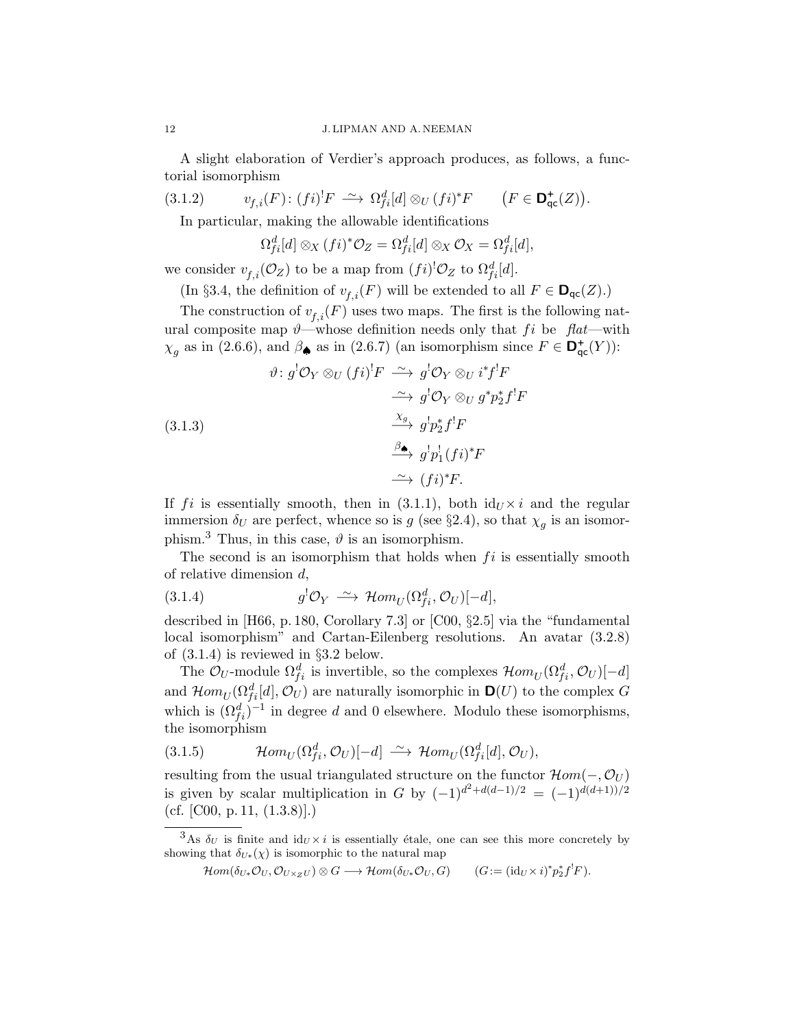A slight elaboration of Verdier's approach produces, as follows, a functorial isomorphism

(3.1.2)  $v_{f,i}(F) : (fi)^! F \longrightarrow \Omega_{fi}^d[d] \otimes_U (fi)^* F \qquad (F \in \mathbf{D}_{qc}^{\dagger}(Z)).$ 

In particular, making the allowable identifications

$$
\Omega_{fi}^d[d] \otimes_X (fi)^* \mathcal{O}_Z = \Omega_{fi}^d[d] \otimes_X \mathcal{O}_X = \Omega_{fi}^d[d],
$$

we consider  $v_{f,i}(\mathcal{O}_Z)$  to be a map from  $(fi)^{!}\mathcal{O}_Z$  to  $\Omega_{fi}^d[d]$ .

(In §3.4, the definition of  $v_{f,i}(F)$  will be extended to all  $F \in \mathbf{D}_{\mathsf{qc}}(Z)$ .)

The construction of  $v_{f,i}(F)$  uses two maps. The first is the following natural composite map  $\vartheta$ —whose definition needs only that fi be flat—with  $\chi_g$  as in (2.6.6), and  $\beta_{\spadesuit}$  as in (2.6.7) (an isomorphism since  $F \in \mathbf{D}_{\sf qc}^+(Y)$ ):

(3.1.3)  
\n
$$
\vartheta: g^{!}\mathcal{O}_{Y} \otimes_{U} (fi)^{!}F \xrightarrow{\sim} g^{!}\mathcal{O}_{Y} \otimes_{U} i^{*}f^{!}F
$$
\n
$$
\xrightarrow{\sim} g^{!}\mathcal{O}_{Y} \otimes_{U} g^{*}p_{2}^{*}f^{!}F
$$
\n
$$
\xrightarrow{\chi_{g}} g^{!}p_{2}^{*}f^{!}F
$$
\n
$$
\xrightarrow{\beta_{\bullet}} g^{!}p_{1}^{!}(fi)^{*}F
$$
\n
$$
\xrightarrow{\sim} (fi)^{*}F.
$$

If fi is essentially smooth, then in (3.1.1), both  $id_U \times i$  and the regular immersion  $\delta_U$  are perfect, whence so is g (see §2.4), so that  $\chi_g$  is an isomorphism.<sup>3</sup> Thus, in this case,  $\vartheta$  is an isomorphism.

The second is an isomorphism that holds when  $fi$  is essentially smooth of relative dimension d,

(3.1.4) 
$$
g^{!}\mathcal{O}_{Y} \stackrel{\sim}{\longrightarrow} \mathcal{H}om_{U}(\Omega_{fi}^{d}, \mathcal{O}_{U})[-d],
$$

described in [H66, p. 180, Corollary 7.3] or [C00, §2.5] via the "fundamental local isomorphism" and Cartan-Eilenberg resolutions. An avatar (3.2.8) of (3.1.4) is reviewed in §3.2 below.

The  $\mathcal{O}_U$ -module  $\Omega_{fi}^d$  is invertible, so the complexes  $\mathcal{H}om_U(\Omega_{fi}^d, \mathcal{O}_U)[-d]$ and  $\mathcal{H}om_U(\Omega_{fi}^d[d], \mathcal{O}_U)$  are naturally isomorphic in  $\mathbf{D}(U)$  to the complex G which is  $(\Omega_{fi}^d)^{-1}$  in degree d and 0 elsewhere. Modulo these isomorphisms, the isomorphism

(3.1.5) 
$$
\mathcal{H}om_U(\Omega_{fi}^d, \mathcal{O}_U)[-d] \stackrel{\sim}{\longrightarrow} \mathcal{H}om_U(\Omega_{fi}^d[d], \mathcal{O}_U),
$$

resulting from the usual triangulated structure on the functor  $\mathcal{H}om(-, \mathcal{O}_U)$ is given by scalar multiplication in G by  $(-1)^{d^2+d(d-1)/2} = (-1)^{d(d+1)/2}$  $(cf. [CO0, p. 11, (1.3.8)].)$ 

<sup>&</sup>lt;sup>3</sup>As  $\delta_U$  is finite and  $id_U \times i$  is essentially étale, one can see this more concretely by showing that  $\delta_{U*}(\chi)$  is isomorphic to the natural map

 $\mathcal{H}om(\delta_{U*}\mathcal{O}_U,\mathcal{O}_{U\times_Z U})\otimes G\longrightarrow \mathcal{H}om(\delta_{U*}\mathcal{O}_U,G)$   $(G:=(\mathrm{id}_U\times i)^*p_2^*f^!F).$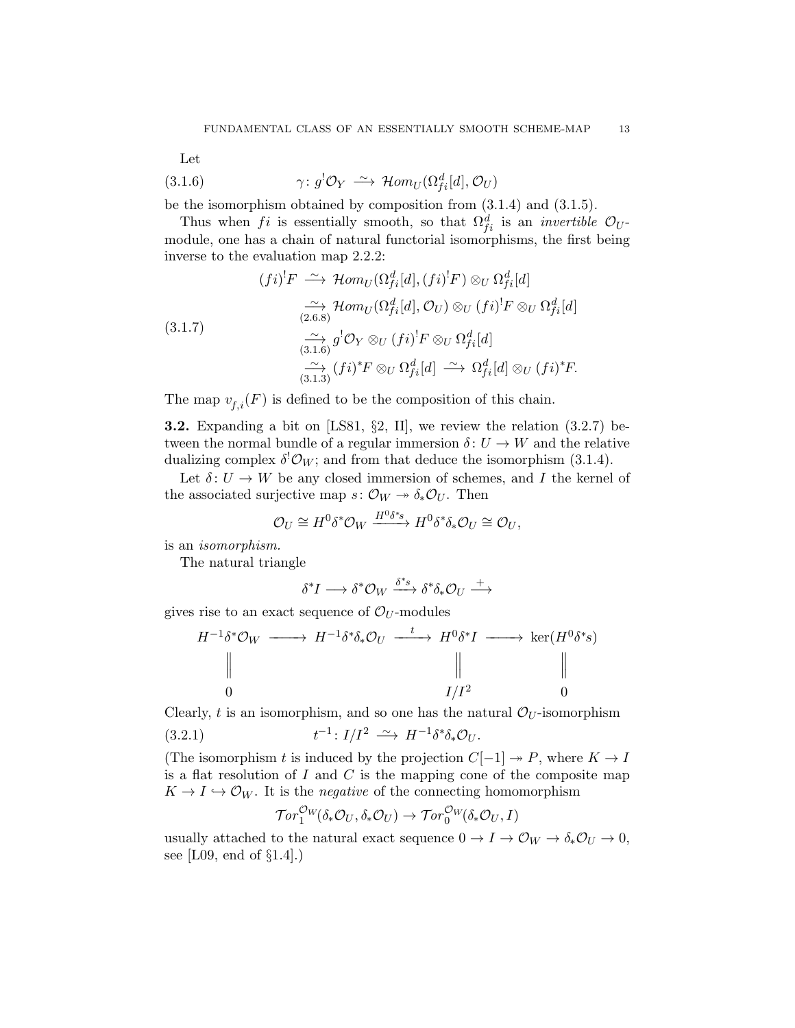Let

(3.1.6) 
$$
\gamma \colon g^{!} \mathcal{O}_Y \stackrel{\sim}{\longrightarrow} \mathcal{H}om_U(\Omega_{fi}^d[d], \mathcal{O}_U)
$$

be the isomorphism obtained by composition from (3.1.4) and (3.1.5).

Thus when fi is essentially smooth, so that  $\Omega_{fi}^d$  is an *invertible*  $\mathcal{O}_U$ module, one has a chain of natural functorial isomorphisms, the first being inverse to the evaluation map 2.2.2:

(3.1.7)  
\n
$$
(fi)^! F \xrightarrow{\sim} \mathcal{H}om_U(\Omega_{fi}^d[d], (fi)^! F) \otimes_U \Omega_{fi}^d[d]
$$
\n
$$
\xrightarrow[\text{(3.1.7)}]{\sim} \mathcal{H}om_U(\Omega_{fi}^d[d], \mathcal{O}_U) \otimes_U (fi)^! F \otimes_U \Omega_{fi}^d[d]
$$
\n
$$
\xrightarrow[\text{(3.1.6)}]{\sim} g^! \mathcal{O}_Y \otimes_U (fi)^! F \otimes_U \Omega_{fi}^d[d]
$$
\n
$$
\xrightarrow[\text{(3.1.3)}]{\sim} (fi)^* F \otimes_U \Omega_{fi}^d[d] \xrightarrow{\sim} \Omega_{fi}^d[d] \otimes_U (fi)^* F.
$$

The map  $v_{f,i}(F)$  is defined to be the composition of this chain.

**3.2.** Expanding a bit on [LS81,  $\S2$ , II], we review the relation  $(3.2.7)$  between the normal bundle of a regular immersion  $\delta: U \to W$  and the relative dualizing complex  $\delta^! \mathcal{O}_W$ ; and from that deduce the isomorphism (3.1.4).

Let  $\delta: U \to W$  be any closed immersion of schemes, and I the kernel of the associated surjective map  $s: \mathcal{O}_W \rightarrow \delta_* \mathcal{O}_U$ . Then

$$
\mathcal{O}_U \cong H^0 \delta^* \mathcal{O}_W \xrightarrow{H^0 \delta^* s} H^0 \delta^* \delta_* \mathcal{O}_U \cong \mathcal{O}_U,
$$

is an isomorphism.

The natural triangle

$$
\delta^* I \longrightarrow \delta^* \mathcal{O}_W \xrightarrow{\delta^* s} \delta^* \delta_* \mathcal{O}_U \xrightarrow{+}
$$

gives rise to an exact sequence of  $\mathcal{O}_U$ -modules

$$
H^{-1}\delta^* \mathcal{O}_W \longrightarrow H^{-1}\delta^* \delta_* \mathcal{O}_U \xrightarrow{t} H^0 \delta^* I \longrightarrow \ker(H^0 \delta^* s)
$$
  
\n
$$
\parallel \qquad \qquad \parallel \qquad \qquad \parallel
$$
  
\n0  
\n
$$
I/I^2 \qquad 0
$$

Clearly, t is an isomorphism, and so one has the natural  $\mathcal{O}_U$ -isomorphism

$$
(3.2.1) \t t^{-1}: I/I^2 \xrightarrow{\sim} H^{-1} \delta^* \delta_* \mathcal{O}_U.
$$

(The isomorphism t is induced by the projection  $C[-1] \rightarrow P$ , where  $K \rightarrow I$ is a flat resolution of  $I$  and  $C$  is the mapping cone of the composite map  $K \to I \hookrightarrow \mathcal{O}_W$ . It is the *negative* of the connecting homomorphism

$$
\operatorname{\mathcal{T}\!\mathit{or}}^{\mathcal{O}\!W}_1(\delta_*\mathcal{O}_U,\delta_*\mathcal{O}_U) \to \operatorname{\mathcal{T}\!\mathit{or}}^{\mathcal{O}\!W}_0(\delta_*\mathcal{O}_U,I)
$$

usually attached to the natural exact sequence  $0 \to I \to \mathcal{O}_W \to \delta_* \mathcal{O}_U \to 0$ , see [L09, end of §1.4].)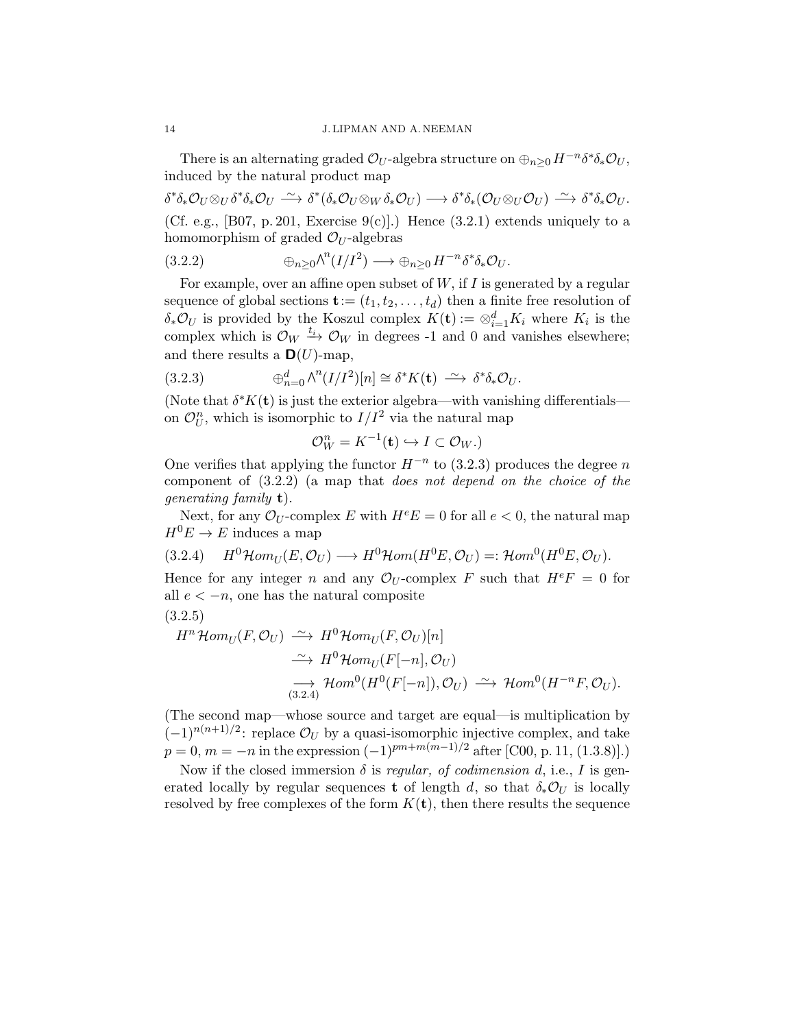There is an alternating graded  $\mathcal{O}_U$ -algebra structure on  $\oplus_{n\geq 0} H^{-n}\delta^*\delta_*\mathcal{O}_U$ , induced by the natural product map

 $\delta^* \delta_* \mathcal{O}_U \otimes_U \delta^* \delta_* \mathcal{O}_U \xrightarrow{\sim} \delta^* (\delta_* \mathcal{O}_U \otimes_W \delta_* \mathcal{O}_U) \longrightarrow \delta^* \delta_* (\mathcal{O}_U \otimes_U \mathcal{O}_U) \xrightarrow{\sim} \delta^* \delta_* \mathcal{O}_U.$ (Cf. e.g., [B07, p. 201, Exercise 9(c)].) Hence  $(3.2.1)$  extends uniquely to a homomorphism of graded  $\mathcal{O}_U$ -algebras

$$
(3.2.2) \qquad \qquad \oplus_{n\geq 0} \wedge^n (I/I^2) \longrightarrow \oplus_{n\geq 0} H^{-n} \delta^* \delta_* \mathcal{O}_U.
$$

For example, over an affine open subset of  $W$ , if  $I$  is generated by a regular sequence of global sections  $\mathbf{t} := (t_1, t_2, \dots, t_d)$  then a finite free resolution of  $\delta_* \mathcal{O}_U$  is provided by the Koszul complex  $K(\mathbf{t}) := \otimes_{i=1}^d K_i$  where  $K_i$  is the complex which is  $\mathcal{O}_W \xrightarrow{t_i} \mathcal{O}_W$  in degrees -1 and 0 and vanishes elsewhere; and there results a  $\mathbf{D}(U)$ -map,

(3.2.3) 
$$
\oplus_{n=0}^d \wedge^n (I/I^2)[n] \cong \delta^* K(\mathbf{t}) \stackrel{\sim}{\longrightarrow} \delta^* \delta_* \mathcal{O}_U.
$$

(Note that  $\delta^* K(\mathbf{t})$  is just the exterior algebra—with vanishing differentials on  $\mathcal{O}_U^n$ , which is isomorphic to  $I/I^2$  via the natural map

$$
\mathcal{O}_W^n = K^{-1}(\mathbf{t}) \hookrightarrow I \subset \mathcal{O}_W.
$$

One verifies that applying the functor  $H^{-n}$  to (3.2.3) produces the degree n component of (3.2.2) (a map that does not depend on the choice of the generating family t).

Next, for any  $\mathcal{O}_U$ -complex E with  $H^eE = 0$  for all  $e < 0$ , the natural map  $H^0E \to E$  induces a map

$$
(3.2.4) \quad H^0\mathcal{H}om_U(E,\mathcal{O}_U) \longrightarrow H^0\mathcal{H}om(H^0E,\mathcal{O}_U) =: \mathcal{H}om^0(H^0E,\mathcal{O}_U).
$$

Hence for any integer n and any  $\mathcal{O}_U$ -complex F such that  $H^e = 0$  for all  $e < -n$ , one has the natural composite

$$
(3.2.5)
$$

$$
H^n\mathcal{H}om_U(F,\mathcal{O}_U) \xrightarrow{\sim} H^0\mathcal{H}om_U(F,\mathcal{O}_U)[n] \xrightarrow{\sim} H^0\mathcal{H}om_U(F[-n],\mathcal{O}_U)
$$
  

$$
\xrightarrow{\sim} H^0\mathcal{H}om_U(F[-n],\mathcal{O}_U) \xrightarrow{\sim} \mathcal{H}om^0(H^{-n}F,\mathcal{O}_U).
$$

(The second map—whose source and target are equal—is multiplication by  $(-1)^{n(n+1)/2}$ : replace  $\mathcal{O}_U$  by a quasi-isomorphic injective complex, and take  $p = 0, m = -n$  in the expression  $(-1)^{pm+m(m-1)/2}$  after [C00, p. 11, (1.3.8)].)

Now if the closed immersion  $\delta$  is *regular, of codimension d, i.e., I* is generated locally by regular sequences **t** of length d, so that  $\delta_* \mathcal{O}_U$  is locally resolved by free complexes of the form  $K(t)$ , then there results the sequence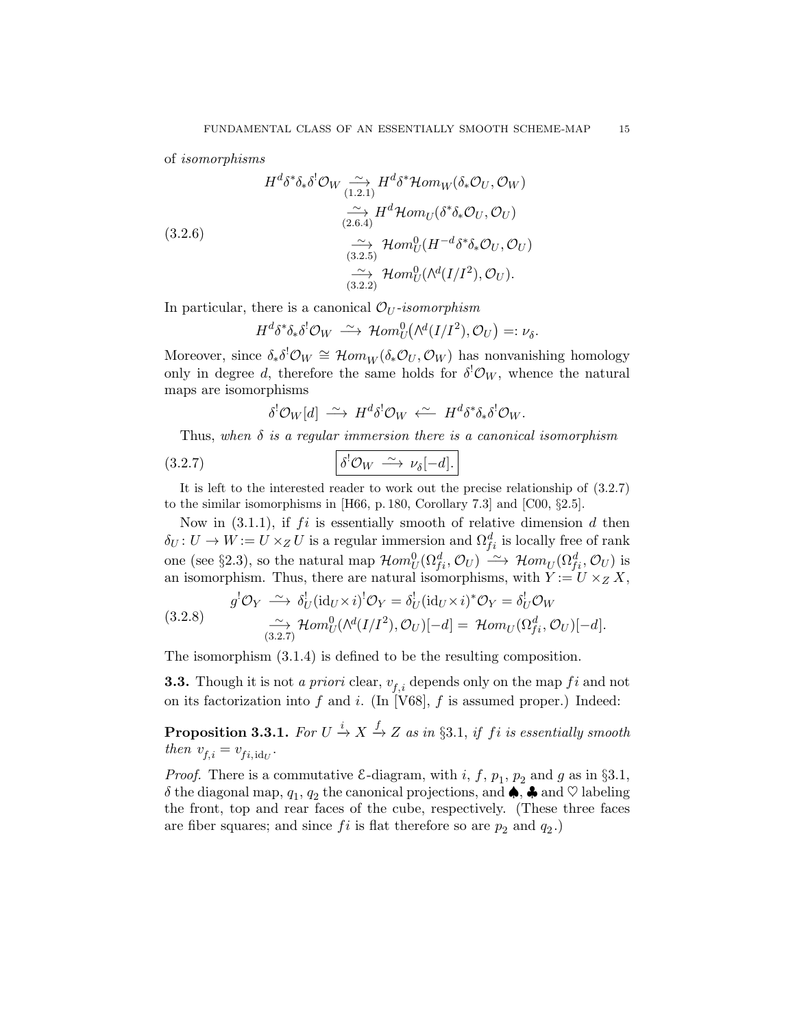of isomorphisms

(3.2.6)  
\n
$$
H^{d}\delta^{*}\delta_{*}\delta^{!}\mathcal{O}_{W} \xrightarrow{(1.2.1)} H^{d}\delta^{*}\mathcal{H}om_{W}(\delta_{*}\mathcal{O}_{U}, \mathcal{O}_{W})
$$
\n
$$
\xrightarrow[\sim]{\sim} H^{d}\mathcal{H}om_{U}(\delta^{*}\delta_{*}\mathcal{O}_{U}, \mathcal{O}_{U})
$$
\n
$$
\xrightarrow[\sim]{\sim} \mathcal{H}om_{U}^{0}(H^{-d}\delta^{*}\delta_{*}\mathcal{O}_{U}, \mathcal{O}_{U})
$$
\n
$$
\xrightarrow[\sim]{\sim} \mathcal{H}om_{U}^{0}(\Lambda^{d}(I/I^{2}), \mathcal{O}_{U}).
$$

In particular, there is a canonical  $\mathcal{O}_U$ -isomorphism

$$
H^d \delta^* \delta_* \delta^! \mathcal{O}_W \ \stackrel{\sim}{\longrightarrow} \ \mathcal{H}om_U^0(\wedge^d(I/I^2), \mathcal{O}_U) =: \nu_{\delta}.
$$

Moreover, since  $\delta_* \delta^! \mathcal{O}_W \cong \mathcal{H}om_W(\delta_* \mathcal{O}_U, \mathcal{O}_W)$  has nonvanishing homology only in degree d, therefore the same holds for  $\delta^{!}\mathcal{O}_{W}$ , whence the natural maps are isomorphisms

$$
\delta^!\mathcal{O}_W[d] \; \xrightarrow{\sim} \; H^d \delta^!\mathcal{O}_W \; \xleftarrow{\sim} \; H^d \delta^* \delta_* \delta^!\mathcal{O}_W.
$$

Thus, when  $\delta$  is a regular immersion there is a canonical isomorphism

$$
(3.2.7) \quad \delta^! \mathcal{O}_W \stackrel{\sim}{\longrightarrow} \nu_{\delta}[-d].
$$

It is left to the interested reader to work out the precise relationship of (3.2.7) to the similar isomorphisms in [H66, p. 180, Corollary 7.3] and [C00, §2.5].

Now in  $(3.1.1)$ , if fi is essentially smooth of relative dimension d then  $\delta_U: U \to W := U \times_Z U$  is a regular immersion and  $\Omega_{fi}^d$  is locally free of rank one (see §2.3), so the natural map  $\mathcal{H}om_U^0(\Omega_{fi}^d, \mathcal{O}_U) \longrightarrow \mathcal{H}om_U(\Omega_{fi}^d, \mathcal{O}_U)$  is an isomorphism. Thus, there are natural isomorphisms, with  $Y := U \times_Z X$ ,

(3.2.8) 
$$
g^{!}\mathcal{O}_{Y} \xrightarrow{\sim} \delta_{U}^{!}(\mathrm{id}_{U} \times i)^{!}\mathcal{O}_{Y} = \delta_{U}^{!}(\mathrm{id}_{U} \times i)^{*}\mathcal{O}_{Y} = \delta_{U}^{!}\mathcal{O}_{W}
$$

$$
\xrightarrow{(3.2.8)} \mathcal{H}om_{U}^{0}(\mathcal{N}^{d}(I/I^{2}), \mathcal{O}_{U})[-d] = \mathcal{H}om_{U}(\Omega_{fi}^{d}, \mathcal{O}_{U})[-d].
$$

The isomorphism (3.1.4) is defined to be the resulting composition.

**3.3.** Though it is not a priori clear,  $v_{f,i}$  depends only on the map f i and not on its factorization into f and i. (In [V68], f is assumed proper.) Indeed:

**Proposition 3.3.1.** For  $U \xrightarrow{i} X \xrightarrow{f} Z$  as in §3.1, if fi is essentially smooth then  $v_{f,i} = v_{fi, id_{U}}$ .

*Proof.* There is a commutative  $\mathcal{E}\text{-diagram}$ , with i, f,  $p_1$ ,  $p_2$  and g as in §3.1,  $\delta$  the diagonal map,  $q_1, q_2$  the canonical projections, and  $\spadesuit$ ,  $\clubsuit$  and  $\heartsuit$  labeling the front, top and rear faces of the cube, respectively. (These three faces are fiber squares; and since  $fi$  is flat therefore so are  $p_2$  and  $q_2$ .)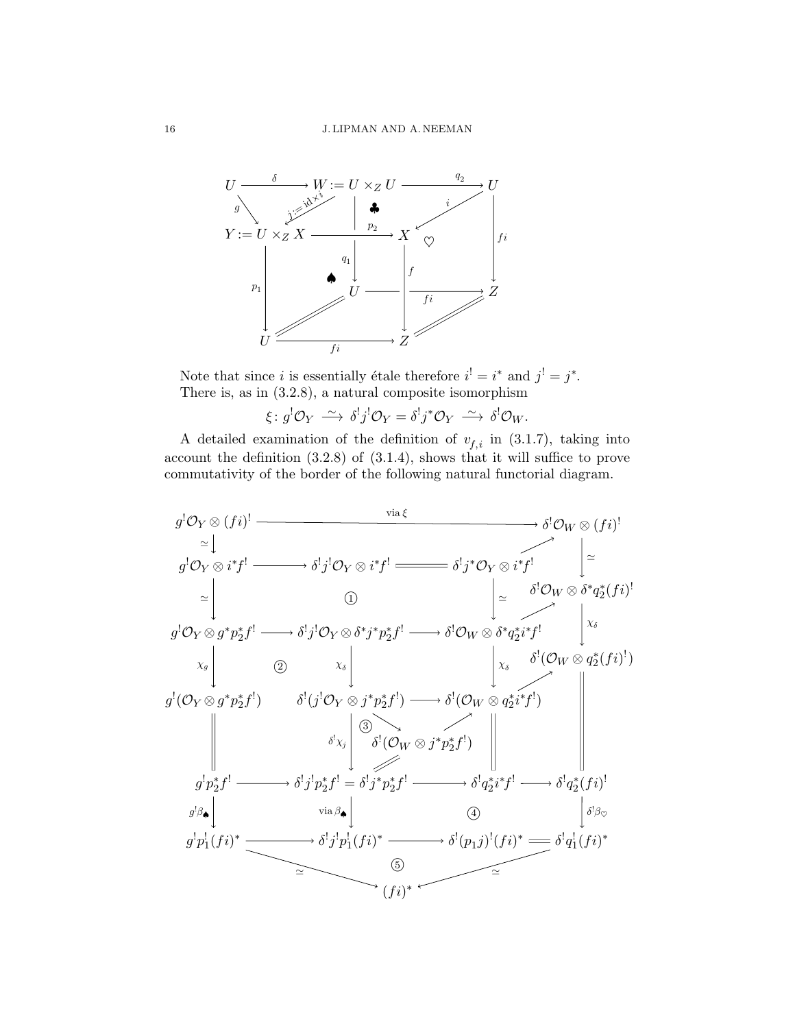

Note that since *i* is essentially étale therefore  $i^! = i^*$  and  $j^! = j^*$ . There is, as in (3.2.8), a natural composite isomorphism

$$
\xi \colon g^{!} \mathcal{O}_Y \xrightarrow{\sim} \delta^{!} j^{!} \mathcal{O}_Y = \delta^{!} j^* \mathcal{O}_Y \xrightarrow{\sim} \delta^{!} \mathcal{O}_W.
$$

A detailed examination of the definition of  $v_{f,i}$  in (3.1.7), taking into account the definition (3.2.8) of (3.1.4), shows that it will suffice to prove commutativity of the border of the following natural functorial diagram.

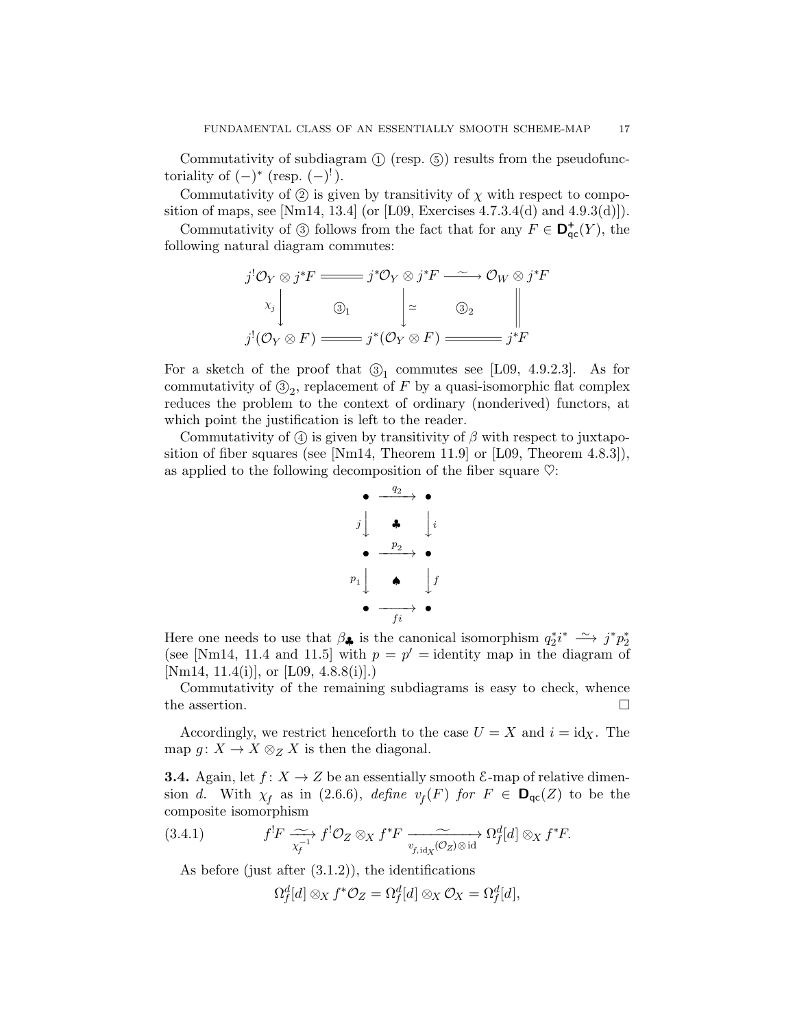Commutativity of subdiagram  $(1)$  (resp.  $(5)$ ) results from the pseudofunctoriality of  $(-)^*$  (resp.  $(-)^!$ ).

Commutativity of  $(2)$  is given by transitivity of  $\chi$  with respect to composition of maps, see [Nm14, 13.4] (or [L09, Exercises  $4.7.3.4(d)$  and  $4.9.3(d)$ ]).

Commutativity of  $\circled{3}$  follows from the fact that for any  $F \in \mathbf{D}_{\mathsf{qc}}^+(Y)$ , the following natural diagram commutes:

$$
j^{!}\mathcal{O}_{Y}\otimes j^{*}F \longrightarrow j^{*}\mathcal{O}_{Y}\otimes j^{*}F \longrightarrow \mathcal{O}_{W}\otimes j^{*}F
$$
  

$$
\begin{array}{c|c}\n\chi_{j} & \mathbb{I} & \rightarrow & \mathbb{O}_{W}\otimes j^{*}F \\
\hline\n\chi_{j} & \mathbb{I} & \rightarrow & \mathbb{I} \\
j^{!}(\mathcal{O}_{Y}\otimes F) \longrightarrow j^{*}(\mathcal{O}_{Y}\otimes F) \longrightarrow j^{*}F\n\end{array}
$$

For a sketch of the proof that  $\mathcal{D}_1$  commutes see [L09, 4.9.2.3]. As for commutativity of  $\mathcal{B}_2$ , replacement of F by a quasi-isomorphic flat complex reduces the problem to the context of ordinary (nonderived) functors, at which point the justification is left to the reader.

Commutativity of  $\alpha$  is given by transitivity of  $\beta$  with respect to juxtaposition of fiber squares (see [Nm14, Theorem 11.9] or [L09, Theorem 4.8.3]), as applied to the following decomposition of the fiber square  $\heartsuit$ :

$$
\begin{array}{c}\n\bullet \xrightarrow{q_2} \bullet \\
j \downarrow \qquad \bullet \\
\bullet \xrightarrow{p_2} \bullet \\
p_1 \downarrow \qquad \bullet \qquad \downarrow f \\
\bullet \xrightarrow{f_i} \bullet\n\end{array}
$$

Here one needs to use that  $\beta_{\clubsuit}$  is the canonical isomorphism  $q_2^*i^* \longrightarrow j^*p_2^*$ (see [Nm14, 11.4 and 11.5] with  $p = p' =$  identity map in the diagram of [Nm14, 11.4(i)], or [L09, 4.8.8(i)].)

Commutativity of the remaining subdiagrams is easy to check, whence the assertion.  $\Box$ 

Accordingly, we restrict henceforth to the case  $U = X$  and  $i = id_X$ . The map  $g: X \to X \otimes_Z X$  is then the diagonal.

**3.4.** Again, let  $f: X \to Z$  be an essentially smooth  $\mathcal{E}$ -map of relative dimension d. With  $\chi_f$  as in (2.6.6), define  $v_f(F)$  for  $F \in \mathbf{D}_{\mathsf{qc}}(Z)$  to be the composite isomorphism

(3.4.1) 
$$
f^! F \xrightarrow[\chi_f^{-1}]{\sim} f^! \mathcal{O}_Z \otimes_X f^* F \xrightarrow[v_{f,\text{id}_X}(\mathcal{O}_Z) \otimes \text{id}]{\sim} \Omega_f^d[d] \otimes_X f^* F.
$$

As before (just after  $(3.1.2)$ ), the identifications

$$
\Omega_f^d[d]\otimes_X f^*\mathcal{O}_Z=\Omega_f^d[d]\otimes_X\mathcal{O}_X=\Omega_f^d[d],
$$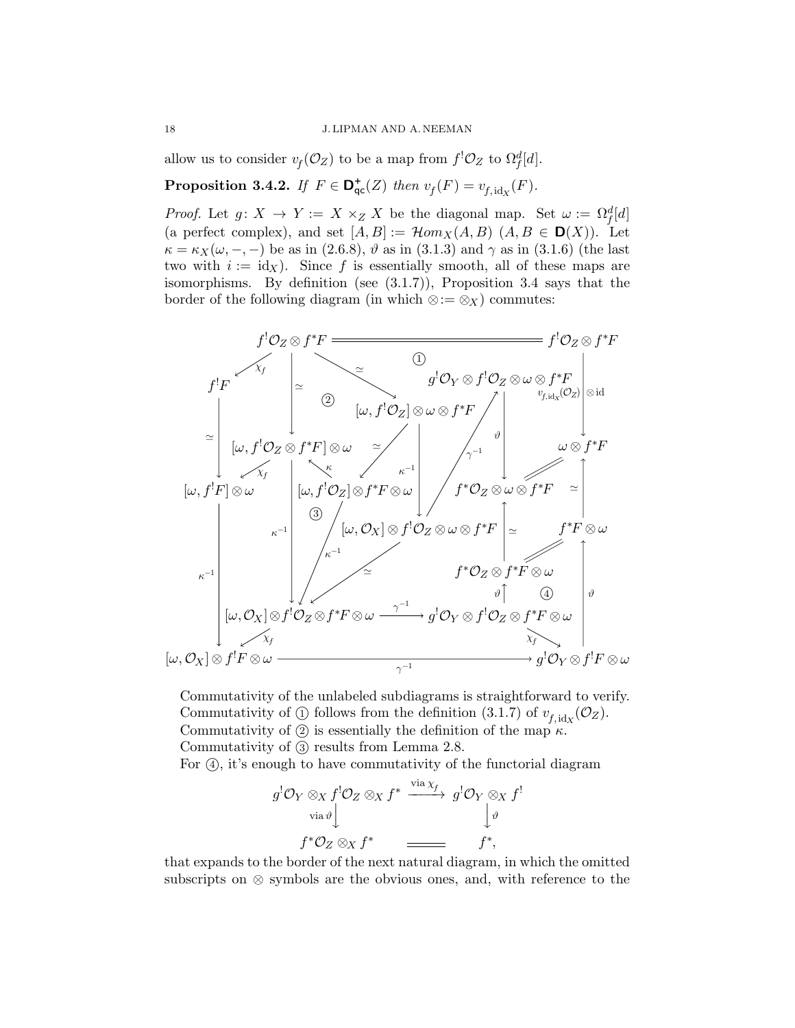allow us to consider  $v_f(\mathcal{O}_Z)$  to be a map from  $f^!\mathcal{O}_Z$  to  $\Omega_f^d[d]$ .

**Proposition 3.4.2.** If  $F \in \mathbf{D}_{\mathsf{qc}}^{\mathsf{+}}(Z)$  then  $v_f(F) = v_{f, \text{idx}}(F)$ .

*Proof.* Let  $g: X \to Y := X \times_Z X$  be the diagonal map. Set  $\omega := \Omega_f^d[d]$ (a perfect complex), and set  $[A, B] := \mathcal{H}om_X(A, B)$   $(A, B \in \mathbf{D}(X))$ . Let  $\kappa = \kappa_X(\omega, -, -)$  be as in (2.6.8),  $\vartheta$  as in (3.1.3) and  $\gamma$  as in (3.1.6) (the last two with  $i := id_X$ ). Since f is essentially smooth, all of these maps are isomorphisms. By definition (see (3.1.7)), Proposition 3.4 says that the border of the following diagram (in which  $\otimes := \otimes_X$ ) commutes:



Commutativity of the unlabeled subdiagrams is straightforward to verify. Commutativity of  $\textcircled{1}$  follows from the definition  $(3.1.7)$  of  $v_{f,\mathrm{idx}}(\mathcal{O}_Z)$ . Commutativity of  $(2)$  is essentially the definition of the map  $\kappa$ . Commutativity of  $(3)$  results from Lemma 2.8.

For (4), it's enough to have commutativity of the functorial diagram

$$
g^{!}\mathcal{O}_{Y} \otimes_{X} f^{!}\mathcal{O}_{Z} \otimes_{X} f^{*} \xrightarrow{\text{via } \chi_{f}} g^{!}\mathcal{O}_{Y} \otimes_{X} f^{!}
$$
  
\n
$$
\downarrow_{\vartheta} f^{*}\mathcal{O}_{Z} \otimes_{X} f^{*} \xrightarrow{\text{via } \chi_{f}} f^{*},
$$

that expands to the border of the next natural diagram, in which the omitted subscripts on ⊗ symbols are the obvious ones, and, with reference to the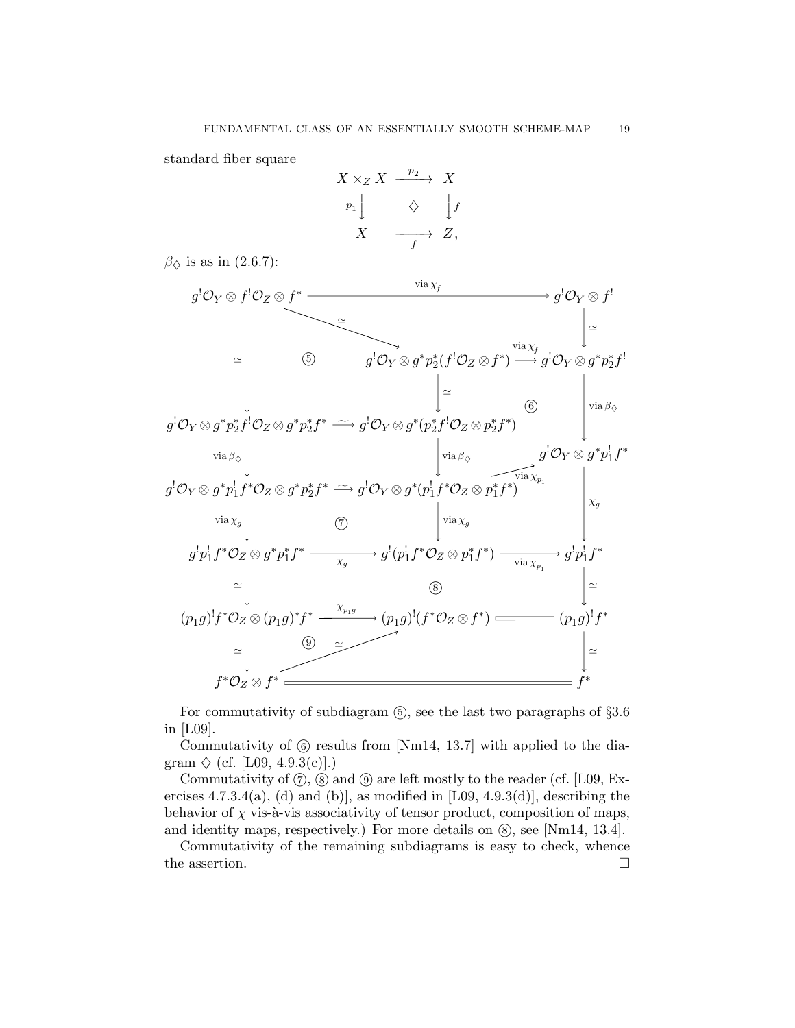standard fiber square

$$
X \times_Z X \xrightarrow{p_2} X
$$
  
\n
$$
p_1 \downarrow \qquad \diamondsuit \qquad \downarrow f
$$
  
\n
$$
X \xrightarrow{f} Z,
$$

 $\beta_{\diamond}$  is as in (2.6.7):



For commutativity of subdiagram  $(5)$ , see the last two paragraphs of  $\S 3.6$ in [L09].

Commutativity of  $(6)$  results from [Nm14, 13.7] with applied to the diagram  $\Diamond$  (cf. [L09, 4.9.3(c)].)

Commutativity of  $(7)$ ,  $(8)$  and  $(9)$  are left mostly to the reader (cf. [L09, Exercises 4.7.3.4(a), (d) and (b)], as modified in  $[L09, 4.9.3(d)]$ , describing the behavior of  $\chi$  vis-à-vis associativity of tensor product, composition of maps, and identity maps, respectively.) For more details on  $(\mathcal{S})$ , see [Nm14, 13.4].

Commutativity of the remaining subdiagrams is easy to check, whence the assertion.  $\hfill \square$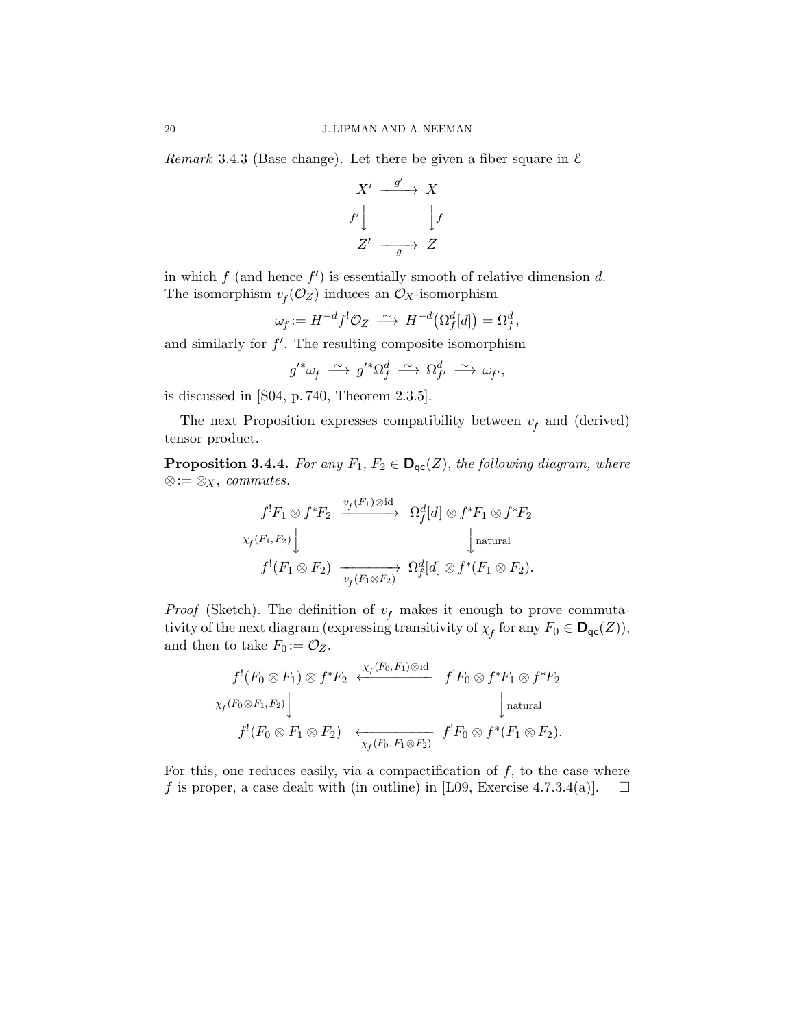Remark 3.4.3 (Base change). Let there be given a fiber square in  $\mathcal E$ 



in which  $f$  (and hence  $f'$ ) is essentially smooth of relative dimension d. The isomorphism  $v_f(\mathcal{O}_Z)$  induces an  $\mathcal{O}_X$ -isomorphism

$$
\omega_f := H^{-d} f^! \mathcal{O}_Z \xrightarrow{\sim} H^{-d} (\Omega_f^d[d]) = \Omega_f^d,
$$

and similarly for  $f'$ . The resulting composite isomorphism

$$
g'^*\omega_f \;\overset{\sim}{\longrightarrow}\; g'^*\Omega_f^d \;\overset{\sim}{\longrightarrow}\; \Omega_{f'}^d \;\overset{\sim}{\longrightarrow}\; \omega_{f'},
$$

is discussed in [S04, p. 740, Theorem 2.3.5].

The next Proposition expresses compatibility between  $v_f$  and (derived) tensor product.

**Proposition 3.4.4.** For any  $F_1, F_2 \in \mathbf{D}_{\text{qc}}(Z)$ , the following diagram, where ⊗:= ⊗<sub>X</sub>, *commutes*.

$$
f^!F_1 \otimes f^*F_2 \xrightarrow{v_f(F_1) \otimes \mathrm{id}} \Omega_f^d[d] \otimes f^*F_1 \otimes f^*F_2
$$
  

$$
\times_f(F_1, F_2) \downarrow \qquad \qquad \downarrow \text{natural}
$$
  

$$
f^!(F_1 \otimes F_2) \xrightarrow{v_f(F_1 \otimes F_2)} \Omega_f^d[d] \otimes f^*(F_1 \otimes F_2).
$$

*Proof* (Sketch). The definition of  $v_f$  makes it enough to prove commutativity of the next diagram (expressing transitivity of  $\chi_f$  for any  $F_0 \in \mathbf{D}_{\mathsf{qc}}(Z)$ ), and then to take  $F_0 := \mathcal{O}_Z$ .

$$
f^!(F_0 \otimes F_1) \otimes f^*F_2 \xleftarrow{\chi_f(F_0, F_1) \otimes \text{id}} f^!F_0 \otimes f^*F_1 \otimes f^*F_2
$$
  

$$
\chi_f(F_0 \otimes F_1, F_2) \downarrow \qquad \qquad \downarrow \text{natural}
$$
  

$$
f^!(F_0 \otimes F_1 \otimes F_2) \xleftarrow{\chi_f(F_0, F_1 \otimes F_2)} f^!F_0 \otimes f^*(F_1 \otimes F_2).
$$

For this, one reduces easily, via a compactification of  $f$ , to the case where f is proper, a case dealt with (in outline) in [L09, Exercise 4.7.3.4(a)].  $\Box$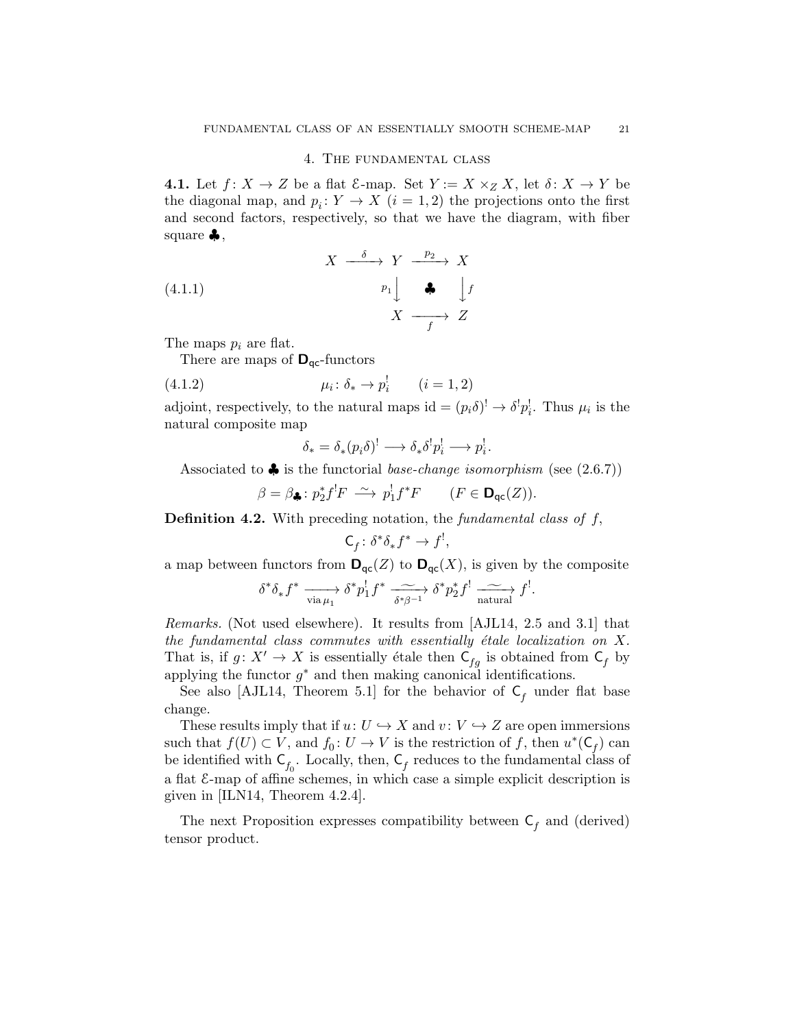#### 4. The fundamental class

**4.1.** Let  $f: X \to Z$  be a flat  $\mathcal{E}-\text{map.}$  Set  $Y := X \times_Z X$ , let  $\delta: X \to Y$  be the diagonal map, and  $p_i: Y \to X$   $(i = 1, 2)$  the projections onto the first and second factors, respectively, so that we have the diagram, with fiber square  $\clubsuit$ ,

(4.1.1) 
$$
X \xrightarrow{\delta} Y \xrightarrow{p_2} X
$$

$$
p_1 \downarrow \qquad \clubsuit \qquad \downarrow f
$$

$$
X \xrightarrow{f} Z
$$

The maps  $p_i$  are flat.

There are maps of  $\mathbf{D}_{\mathsf{qc}}$ -functors

(4.1.2) 
$$
\mu_i \colon \delta_* \to p_i^! \qquad (i = 1, 2)
$$

adjoint, respectively, to the natural maps  $\mathrm{id} = (p_i \delta)^! \to \delta^! p_i^!$ . Thus  $\mu_i$  is the natural composite map

$$
\delta_* = \delta_*(p_i \delta)^! \longrightarrow \delta_* \delta^! p_i^! \longrightarrow p_i^!.
$$

Associated to  $\clubsuit$  is the functorial *base-change isomorphism* (see (2.6.7))

$$
\beta = \beta_{\clubsuit} : p_2^* f^! F \stackrel{\sim}{\longrightarrow} p_1^! f^* F \qquad (F \in \mathbf{D}_{\mathsf{qc}}(Z)).
$$

**Definition 4.2.** With preceding notation, the fundamental class of  $f$ ,

$$
\mathsf{C}_f\colon \delta^*\delta_*f^*\to f^!,
$$

a map between functors from  $\mathbf{D}_{\text{qc}}(Z)$  to  $\mathbf{D}_{\text{qc}}(X)$ , is given by the composite

$$
\delta^* \delta_* f^* \xrightarrow[\text{via } \mu_1]{} \delta^* p_1^! f^* \xrightarrow[\delta^* \beta^{-1}]{} \delta^* p_2^* f^! \xrightarrow[\text{natural}]{} f^!.
$$

Remarks. (Not used elsewhere). It results from [AJL14, 2.5 and 3.1] that the fundamental class commutes with essentially étale localization on  $X$ . That is, if  $g: X' \to X$  is essentially étale then  $\mathsf{C}_{fg}$  is obtained from  $\mathsf{C}_f$  by applying the functor  $g^*$  and then making canonical identifications.

See also [AJL14, Theorem 5.1] for the behavior of  $C_f$  under flat base change.

These results imply that if  $u: U \hookrightarrow X$  and  $v: V \hookrightarrow Z$  are open immersions such that  $f(U) \subset V$ , and  $f_0: U \to V$  is the restriction of f, then  $u^*(C_f)$  can be identified with  $C_{f_0}$ . Locally, then,  $C_f$  reduces to the fundamental class of a flat E-map of affine schemes, in which case a simple explicit description is given in [ILN14, Theorem 4.2.4].

The next Proposition expresses compatibility between  $C_f$  and (derived) tensor product.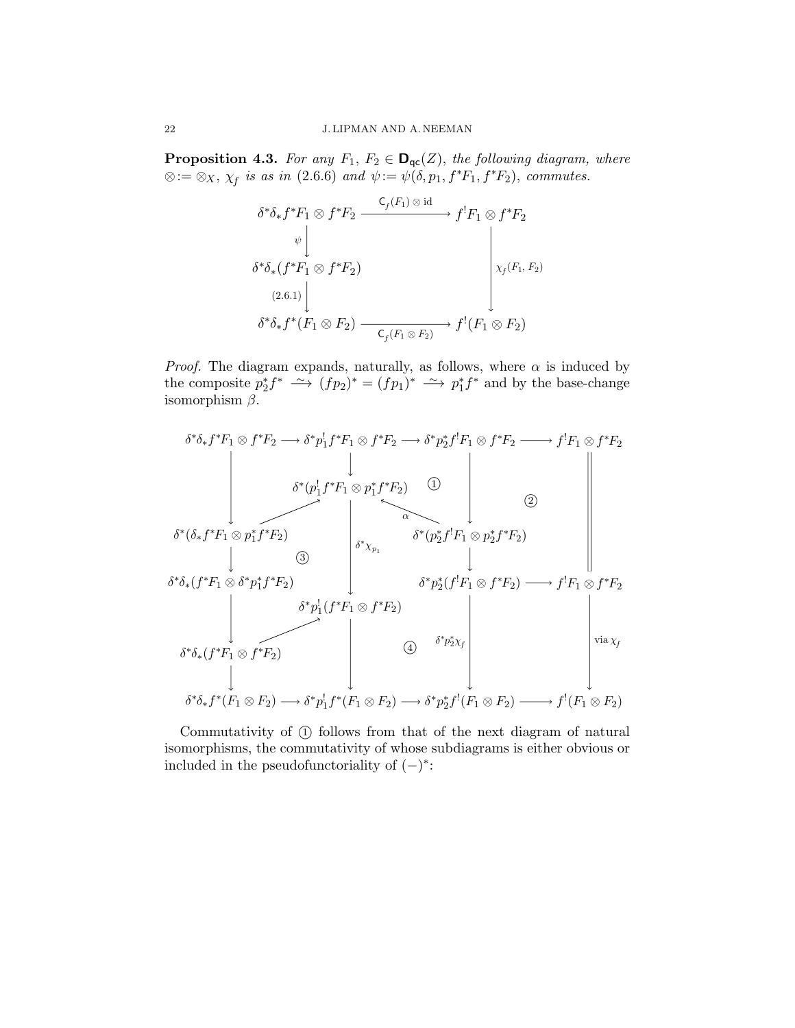**Proposition 4.3.** For any  $F_1, F_2 \in \mathbf{D}_{\mathsf{qc}}(Z)$ , the following diagram, where  $\otimes := \otimes_X$ ,  $\chi_f$  is as in (2.6.6) and  $\psi := \psi(\delta, p_1, f^*F_1, f^*F_2)$ , commutes.



*Proof.* The diagram expands, naturally, as follows, where  $\alpha$  is induced by the composite  $p_2^* f^* \longrightarrow (fp_2)^* = (fp_1)^* \longrightarrow p_1^* f^*$  and by the base-change isomorphism  $\beta$ .

$$
\delta^*\delta_* f^*F_1 \otimes f^*F_2 \longrightarrow \delta^* p_1^! f^*F_1 \otimes f^*F_2 \longrightarrow \delta^* p_2^* f^!F_1 \otimes f^*F_2 \longrightarrow f^!F_1 \otimes f^*F_2
$$
\n
$$
\downarrow \qquad \qquad \delta^*(p_1^! f^*F_1 \otimes p_1^* f^*F_2) \qquad \qquad \Box
$$
\n
$$
\delta^*(\delta_* f^*F_1 \otimes p_1^* f^*F_2)
$$
\n
$$
\downarrow \qquad \qquad \Box
$$
\n
$$
\delta^*\delta_* (f^*F_1 \otimes \delta^* p_1^* f^*F_2)
$$
\n
$$
\downarrow \qquad \qquad \delta^* p_2^* (f^!F_1 \otimes f^*F_2) \longrightarrow f^!F_1 \otimes f^*F_2
$$
\n
$$
\delta^* p_2^* (f^!F_1 \otimes f^*F_2) \longrightarrow f^!F_1 \otimes f^*F_2
$$
\n
$$
\delta^* \delta_* (f^*F_1 \otimes f^*F_2) \qquad \qquad \Box
$$
\n
$$
\delta^* \delta_* (f^*F_1 \otimes f^*F_2) \qquad \qquad \Box
$$
\n
$$
\delta^* \delta_* f^* (F_1 \otimes F_2) \longrightarrow \delta^* p_1^! f^* (F_1 \otimes F_2) \longrightarrow \delta^* p_2^* f^! (F_1 \otimes F_2) \longrightarrow f^! (F_1 \otimes F_2)
$$

Commutativity of  $(1)$  follows from that of the next diagram of natural isomorphisms, the commutativity of whose subdiagrams is either obvious or included in the pseudofunctoriality of  $(-)^*$ :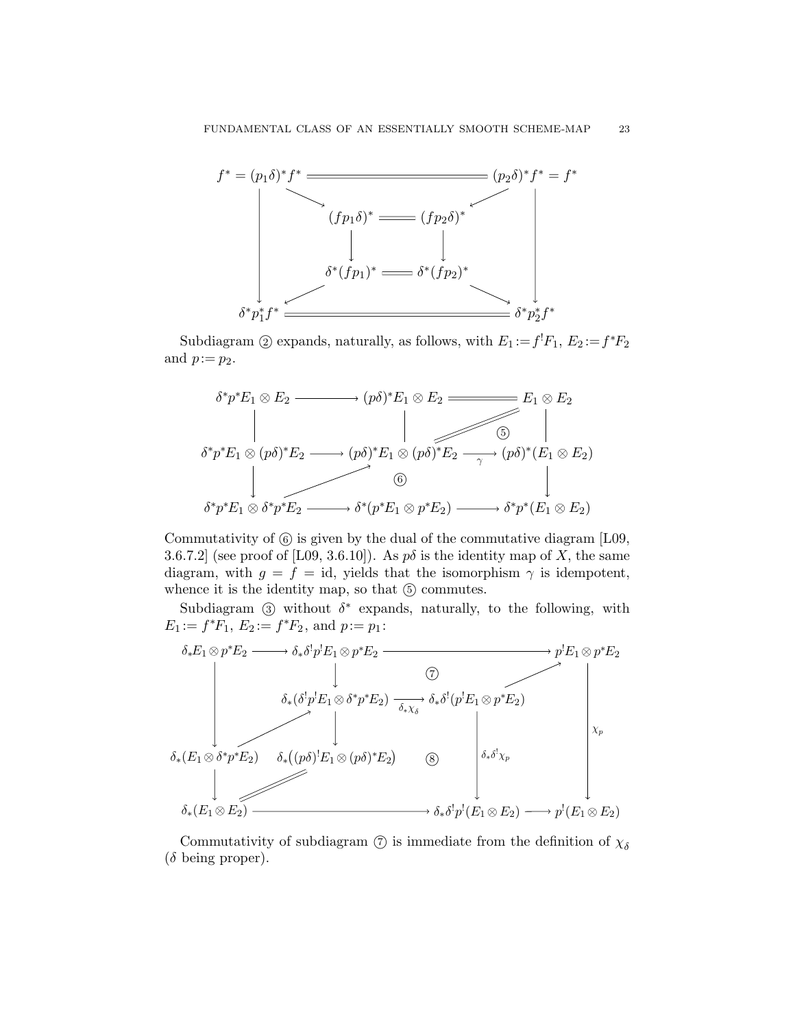

Subdiagram ② expands, naturally, as follows, with  $E_1 := f^1 F_1, E_2 := f^* F_2$ and  $p:=p_2$ .



Commutativity of  $(6)$  is given by the dual of the commutative diagram [L09, 3.6.7.2] (see proof of [L09, 3.6.10]). As  $p\delta$  is the identity map of X, the same diagram, with  $g = f = id$ , yields that the isomorphism  $\gamma$  is idempotent, whence it is the identity map, so that  $(5)$  commutes.

Subdiagram  $\circled{3}$  without  $\delta^*$  expands, naturally, to the following, with  $E_1 := f^*F_1, E_2 := f^*F_2, \text{ and } p := p_1:$ 



Commutativity of subdiagram  $\circled{?}$  is immediate from the definition of  $\chi_{\delta}$  $(\delta \text{ being proper}).$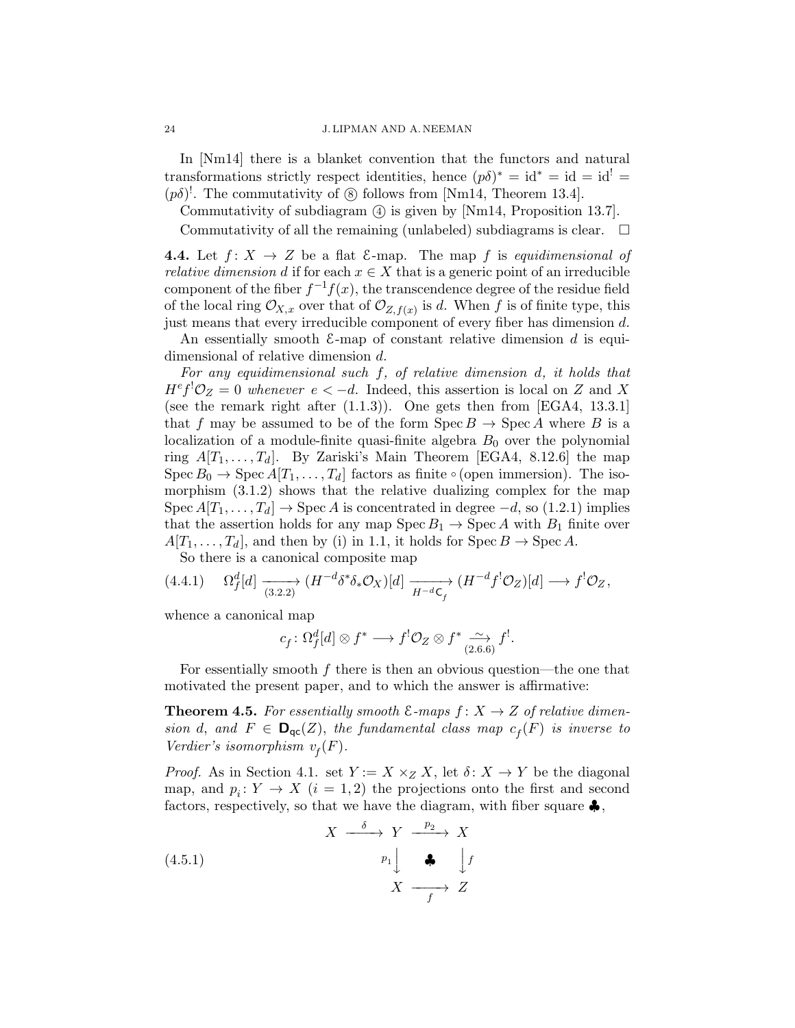In [Nm14] there is a blanket convention that the functors and natural transformations strictly respect identities, hence  $(p\delta)^* = id^* = id = id^! =$  $(p\delta)^!$ . The commutativity of  $\circledS$  follows from [Nm14, Theorem 13.4].

Commutativity of subdiagram (4) is given by [Nm14, Proposition 13.7].

Commutativity of all the remaining (unlabeled) subdiagrams is clear.  $\Box$ 

**4.4.** Let  $f: X \to Z$  be a flat  $\mathcal{E}-map$ . The map f is equidimensional of *relative dimension d* if for each  $x \in X$  that is a generic point of an irreducible component of the fiber  $f^{-1}f(x)$ , the transcendence degree of the residue field of the local ring  $\mathcal{O}_{X,x}$  over that of  $\mathcal{O}_{Z,f(x)}$  is d. When f is of finite type, this just means that every irreducible component of every fiber has dimension d.

An essentially smooth  $\mathcal{E}$ -map of constant relative dimension d is equidimensional of relative dimension d.

For any equidimensional such f, of relative dimension d, it holds that  $H^e f^! \mathcal{O}_Z = 0$  whenever  $e < -d$ . Indeed, this assertion is local on Z and X (see the remark right after  $(1.1.3)$ ). One gets then from [EGA4, 13.3.1] that f may be assumed to be of the form  $\text{Spec } B \to \text{Spec } A$  where B is a localization of a module-finite quasi-finite algebra  $B_0$  over the polynomial ring  $A[T_1, \ldots, T_d]$ . By Zariski's Main Theorem [EGA4, 8.12.6] the map  $Spec B_0 \to Spec A[T_1, \ldots, T_d]$  factors as finite ∘ (open immersion). The isomorphism (3.1.2) shows that the relative dualizing complex for the map Spec  $A[T_1, \ldots, T_d] \rightarrow \text{Spec } A$  is concentrated in degree  $-d$ , so (1.2.1) implies that the assertion holds for any map  $Spec B_1 \rightarrow Spec A$  with  $B_1$  finite over  $A[T_1, \ldots, T_d]$ , and then by (i) in 1.1, it holds for Spec  $B \to \text{Spec } A$ .

So there is a canonical composite map

$$
(4.4.1) \t \Omega_f^d[d] \xrightarrow[3.2.2]{(H^{-d}\delta^*\delta_*\mathcal{O}_X)[d]} \overrightarrow{H^{-d}\mathsf{C}_f} (H^{-d}f^!\mathcal{O}_Z)[d] \longrightarrow f^!\mathcal{O}_Z,
$$

whence a canonical map

$$
c_f \colon \Omega_f^d[d] \otimes f^* \longrightarrow f^! \mathcal{O}_Z \otimes f^* \xrightarrow[2.6.6]{\sim} f^!.
$$

For essentially smooth  $f$  there is then an obvious question—the one that motivated the present paper, and to which the answer is affirmative:

**Theorem 4.5.** For essentially smooth  $\mathcal{E}$ -maps  $f: X \to Z$  of relative dimension d, and  $F \in \mathbf{D}_{\mathsf{qc}}(Z)$ , the fundamental class map  $c_f(F)$  is inverse to Verdier's isomorphism  $v_f(F)$ .

*Proof.* As in Section 4.1. set  $Y := X \times_Z X$ , let  $\delta: X \to Y$  be the diagonal map, and  $p_i: Y \to X$   $(i = 1, 2)$  the projections onto the first and second factors, respectively, so that we have the diagram, with fiber square  $\clubsuit$ ,

(4.5.1) 
$$
X \xrightarrow{\delta} Y \xrightarrow{p_2} X
$$

$$
p_1 \downarrow \clubsuit \downarrow f
$$

$$
X \xrightarrow{f} Z
$$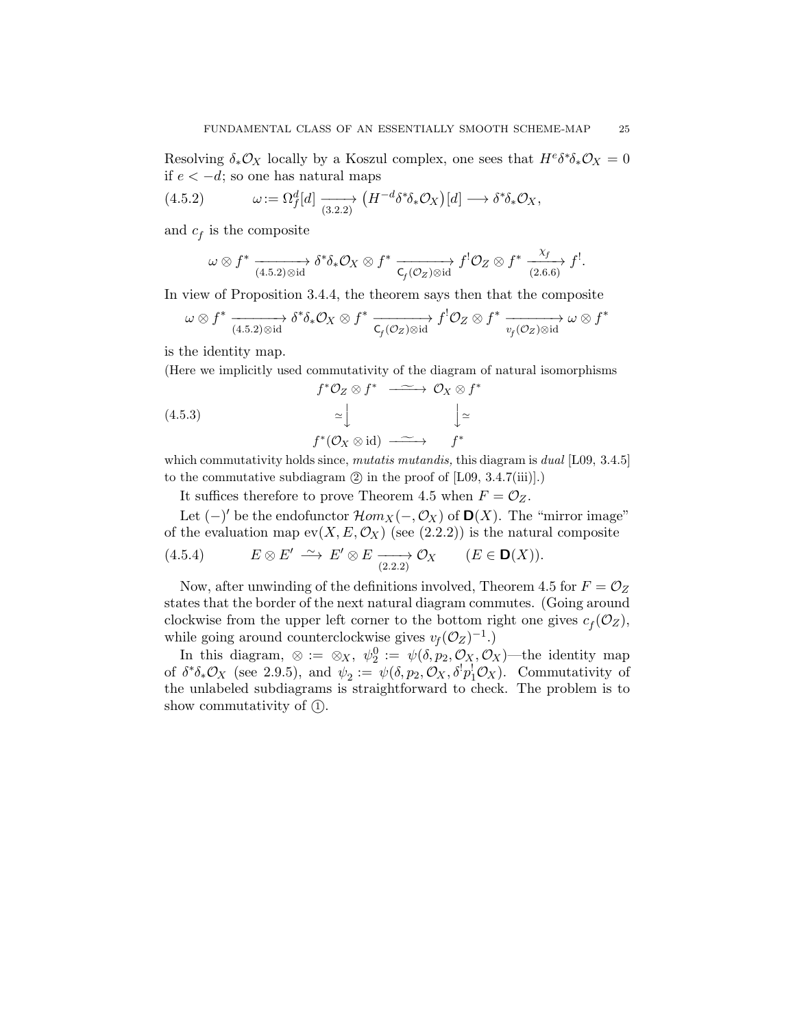Resolving  $\delta_* \mathcal{O}_X$  locally by a Koszul complex, one sees that  $H^e \delta^* \delta_* \mathcal{O}_X = 0$ if  $e < −d$ ; so one has natural maps

(4.5.2) 
$$
\omega := \Omega_f^d[d] \xrightarrow[3.2.2]} (H^{-d} \delta^* \delta_* \mathcal{O}_X)[d] \longrightarrow \delta^* \delta_* \mathcal{O}_X,
$$

and  $c_f$  is the composite

$$
\omega \otimes f^* \xrightarrow[4.5.2)\otimes \mathrm{id} \longrightarrow \delta^* \delta_* \mathcal{O}_X \otimes f^* \xrightarrow[\mathsf{C}_f(\mathcal{O}_Z)\otimes \mathrm{id} \longrightarrow]{} f^! \mathcal{O}_Z \otimes f^* \xrightarrow[\mathsf{(2.6.6)}]{} f^!.
$$

In view of Proposition 3.4.4, the theorem says then that the composite

$$
\omega \otimes f^* \xrightarrow[(4.5.2) \otimes id]{} \delta^* \delta_* \mathcal{O}_X \otimes f^* \xrightarrow[\mathsf{C}_f(\mathcal{O}_Z) \otimes id]{} f^! \mathcal{O}_Z \otimes f^* \xrightarrow[v_f(\mathcal{O}_Z) \otimes id]{} \omega \otimes f^*
$$

is the identity map.

(Here we implicitly used commutativity of the diagram of natural isomorphisms

$$
f^* \mathcal{O}_Z \otimes f^* \xrightarrow{\sim} \mathcal{O}_X \otimes f^*
$$
\n
$$
(4.5.3) \qquad \simeq \bigcup_{T^* \mathcal{O}_X \otimes id} f^* \mathcal{O}_X \otimes id \longrightarrow f^*
$$
\nwhich commutativity holds since, *mutatis mutandis*, this diagram is *dual* [L09, 3.4.5]

to the commutative subdiagram  $(2)$  in the proof of  $[L09, 3.4.7(iii)].$ 

It suffices therefore to prove Theorem 4.5 when  $F = \mathcal{O}_Z$ .

Let  $(-)'$  be the endofunctor  $\mathcal{H}om_X(-,\mathcal{O}_X)$  of  $\mathbf{D}(X)$ . The "mirror image" of the evaluation map  $ev(X, E, \mathcal{O}_X)$  (see (2.2.2)) is the natural composite

(4.5.4) 
$$
E \otimes E' \xrightarrow{\sim} E' \otimes E \xrightarrow[2.2.2]{} \mathcal{O}_X
$$
  $(E \in \mathbf{D}(X)).$ 

Now, after unwinding of the definitions involved, Theorem 4.5 for  $F = \mathcal{O}_Z$ states that the border of the next natural diagram commutes. (Going around clockwise from the upper left corner to the bottom right one gives  $c_f(\mathcal{O}_Z)$ , while going around counterclockwise gives  $v_f(\mathcal{O}_Z)^{-1}$ .)

In this diagram,  $\otimes := \otimes_X$ ,  $\psi_2^0 := \psi(\delta, p_2, \mathcal{O}_X, \mathcal{O}_X)$ —the identity map of  $\delta^*\delta_*\mathcal{O}_X$  (see 2.9.5), and  $\psi_2 := \psi(\delta, p_2, \mathcal{O}_X, \delta^! p_1^! \mathcal{O}_X)$ . Commutativity of the unlabeled subdiagrams is straightforward to check. The problem is to show commutativity of  $(1)$ .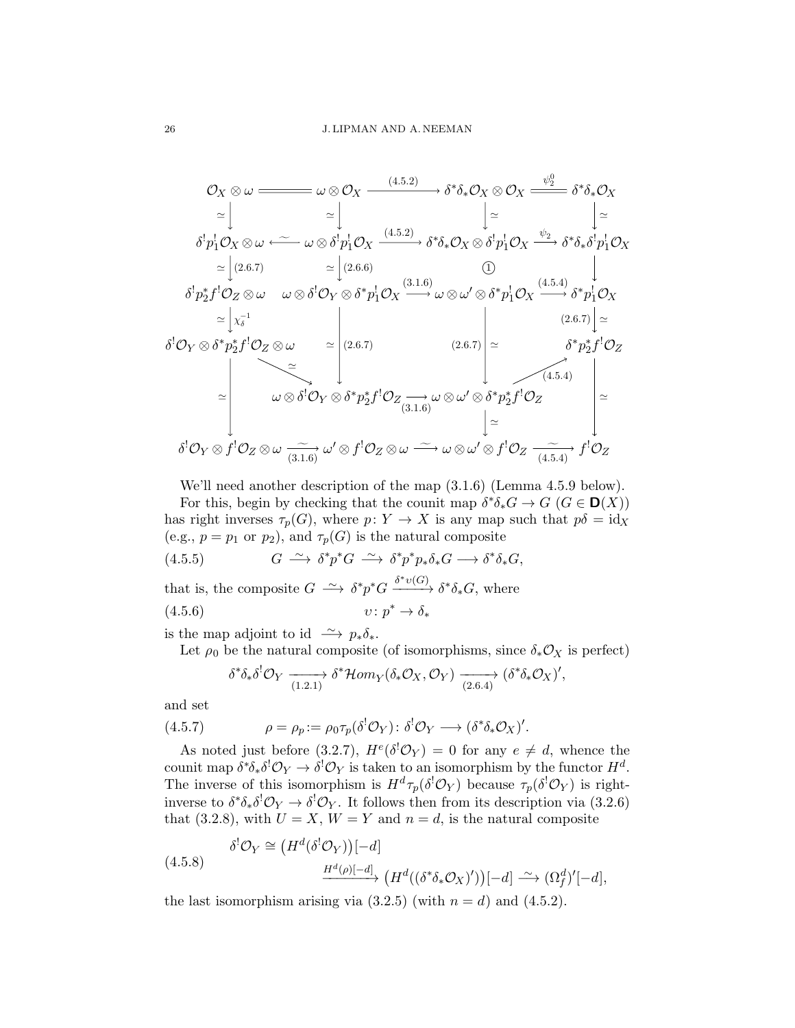$$
\mathcal{O}_X \otimes \omega \longrightarrow \omega \otimes \mathcal{O}_X \longrightarrow^{(4.5.2)} \delta^* \delta_* \mathcal{O}_X \otimes \mathcal{O}_X \longrightarrow^{ \psi_2^0} \delta^* \delta_* \mathcal{O}_X
$$
\n
$$
\simeq \begin{vmatrix}\n\downarrow & \downarrow \\
\delta^! p_1^1 \mathcal{O}_X \otimes \omega & \stackrel{\sim}{\sim} \omega \otimes \delta^! p_1^1 \mathcal{O}_X \longrightarrow^{(4.5.2)} \delta^* \delta_* \mathcal{O}_X \otimes \delta^! p_1^1 \mathcal{O}_X \longrightarrow^{ \psi_2} \delta^* \delta_* \delta^! p_1^1 \mathcal{O}_X
$$
\n
$$
\simeq \begin{vmatrix}\n(2.6.7) & \simeq \begin{vmatrix}\n(2.6.6) & \searrow \\
(2.6.7) & \simeq \begin{vmatrix}\n(2.6.6) & \searrow \\
(2.6.6) & \searrow \\
\delta^! p_2^* f^! \mathcal{O}_Z \otimes \omega & \omega \otimes \delta^! \mathcal{O}_Y \otimes \delta^* p_1^1 \mathcal{O}_X \longrightarrow^{(3.1.6)} \omega \otimes \omega' \otimes \delta^* p_1^1 \mathcal{O}_X \longrightarrow^{(4.5.4)} \delta^* p_1^1 \mathcal{O}_X\n\end{vmatrix} \simeq \begin{vmatrix}\n\downarrow & \downarrow \\
\delta^* \mathcal{O}_Y \otimes \delta^* p_2^* f^! \mathcal{O}_Z \longrightarrow^{(2.6.7)} \end{vmatrix} \simeq \begin{vmatrix}\n(2.6.7) & \searrow \\
\delta^* p_2^* f^! \mathcal{O}_Z \longrightarrow^{(4.5.4)} \omega \otimes \delta^! \mathcal{O}_Y \otimes \delta^* p_2^* f^! \mathcal{O}_Z \longrightarrow^{(3.1.6)} \omega \otimes \omega' \otimes \delta^* p_2^* f^! \mathcal{O}_Z\n\end{vmatrix} \simeq \begin{vmatrix}\n\downarrow & \downarrow \\
\delta^! \mathcal{O}_Y \otimes f^! \mathcal{O}_Z \otimes \omega & \searrow \\
\downarrow & \searrow \\
\delta^! \mathcal{O}_Y \otimes f^! \mathcal{O}_Z \otimes \omega & \se
$$

We'll need another description of the map (3.1.6) (Lemma 4.5.9 below). For this, begin by checking that the counit map  $\delta^* \delta_* G \to G$   $(G \in \mathbf{D}(X))$ has right inverses  $\tau_p(G)$ , where  $p: Y \to X$  is any map such that  $p\delta = id_X$ (e.g.,  $p = p_1$  or  $p_2$ ), and  $\tau_p(G)$  is the natural composite

(4.5.5) 
$$
G \xrightarrow{\sim} \delta^* p^* G \xrightarrow{\sim} \delta^* p^* p_* \delta_* G \longrightarrow \delta^* \delta_* G,
$$

that is, the composite  $G \longrightarrow \delta^* p^* G \xrightarrow{\delta^* v(G)} \delta^* \delta_* G$ , where  $(4.5.6)$  $v: p^* \to \delta_*$ 

is the map adjoint to id  $\longrightarrow p_*\delta_*$ .

Let  $\rho_0$  be the natural composite (of isomorphisms, since  $\delta_* \mathcal{O}_X$  is perfect)

$$
\delta^*\delta_*\delta^!\mathcal{O}_Y \xrightarrow[1.2.1]{} \delta^*\mathcal{H}om_Y(\delta_*\mathcal{O}_X,\mathcal{O}_Y) \xrightarrow[2.6.4]{} (\delta^*\delta_*\mathcal{O}_X)',
$$

and set

(4.5.7) 
$$
\rho = \rho_p := \rho_0 \tau_p(\delta^! \mathcal{O}_Y) : \delta^! \mathcal{O}_Y \longrightarrow (\delta^* \delta_* \mathcal{O}_X)'
$$

As noted just before (3.2.7),  $H^e(\delta^!\mathcal{O}_Y) = 0$  for any  $e \neq d$ , whence the counit map  $\delta^*\delta_*\delta^!\mathcal{O}_Y \to \delta^!\mathcal{O}_Y$  is taken to an isomorphism by the functor  $H^d$ . The inverse of this isomorphism is  $H^d \tau_p(\delta^! \mathcal{O}_Y)$  because  $\tau_p(\delta^! \mathcal{O}_Y)$  is rightinverse to  $\delta^*\delta_*\delta^!\mathcal{O}_Y \to \delta^!\mathcal{O}_Y$ . It follows then from its description via (3.2.6) that (3.2.8), with  $U = X$ ,  $W = Y$  and  $n = d$ , is the natural composite

(4.5.8) 
$$
\delta^{!}\mathcal{O}_{Y} \cong \left(H^{d}(\delta^{!}\mathcal{O}_{Y})\right)[-d] \longrightarrow \left(H^{d}((\delta^{*}\delta_{*}\mathcal{O}_{X})')\right)[-d] \longrightarrow (\Omega_{f}^{d})'[-d],
$$

the last isomorphism arising via  $(3.2.5)$  (with  $n = d$ ) and  $(4.5.2)$ .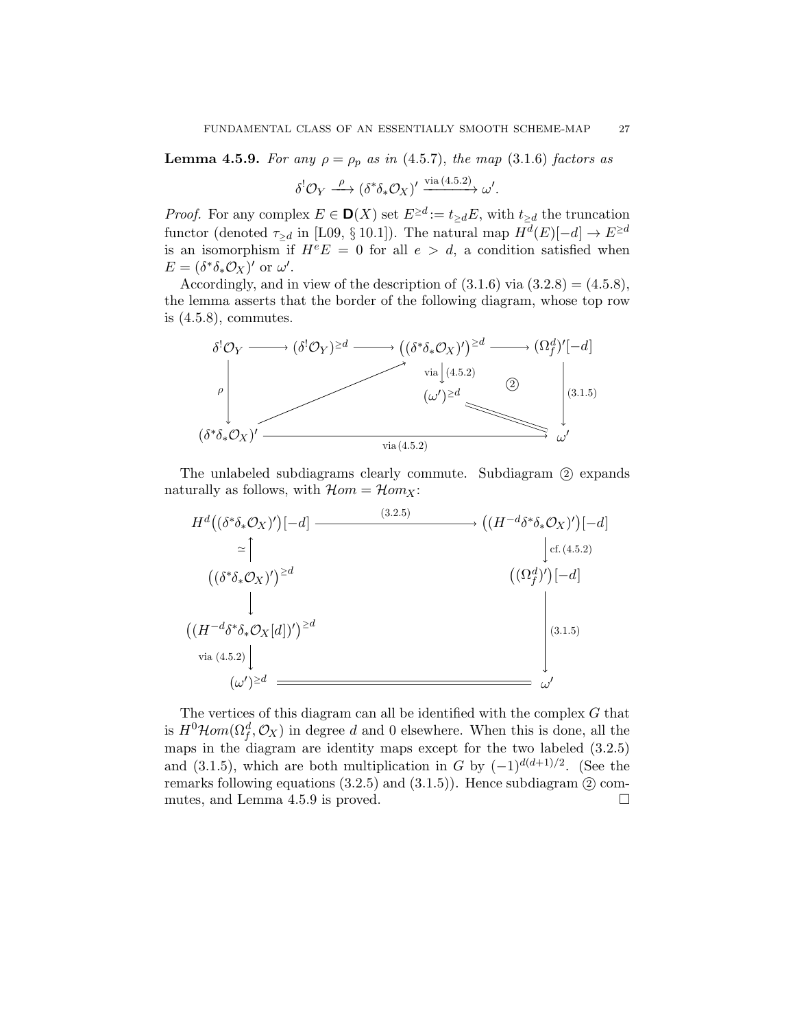**Lemma 4.5.9.** For any  $\rho = \rho_p$  as in (4.5.7), the map (3.1.6) factors as

$$
\delta^{!}\mathcal{O}_{Y} \xrightarrow{\rho} (\delta^{*}\delta_{*}\mathcal{O}_{X})' \xrightarrow{\text{via } (4.5.2)} \omega'.
$$

*Proof.* For any complex  $E \in \mathbf{D}(X)$  set  $E^{\geq d} := t_{\geq d}E$ , with  $t_{\geq d}$  the truncation functor (denoted  $\tau_{\geq d}$  in [L09, § 10.1]). The natural map  $H^d(E)[-d] \to E^{\geq d}$ is an isomorphism if  $H^eE = 0$  for all  $e > d$ , a condition satisfied when  $E = (\delta^* \delta_* \mathcal{O}_X)'$  or  $\omega'.$ 

Accordingly, and in view of the description of  $(3.1.6)$  via  $(3.2.8) = (4.5.8)$ , the lemma asserts that the border of the following diagram, whose top row is  $(4.5.8)$ , commutes.



The unlabeled subdiagrams clearly commute. Subdiagram  $(2)$  expands naturally as follows, with  $\mathcal{H}om = \mathcal{H}om_X$ :



The vertices of this diagram can all be identified with the complex  $G$  that is  $H^0\mathcal{H}om(\Omega_f^d, \mathcal{O}_X)$  in degree d and 0 elsewhere. When this is done, all the maps in the diagram are identity maps except for the two labeled (3.2.5) and (3.1.5), which are both multiplication in G by  $(-1)^{d(d+1)/2}$ . (See the remarks following equations  $(3.2.5)$  and  $(3.1.5)$ . Hence subdiagram  $(2)$  commutes, and Lemma 4.5.9 is proved.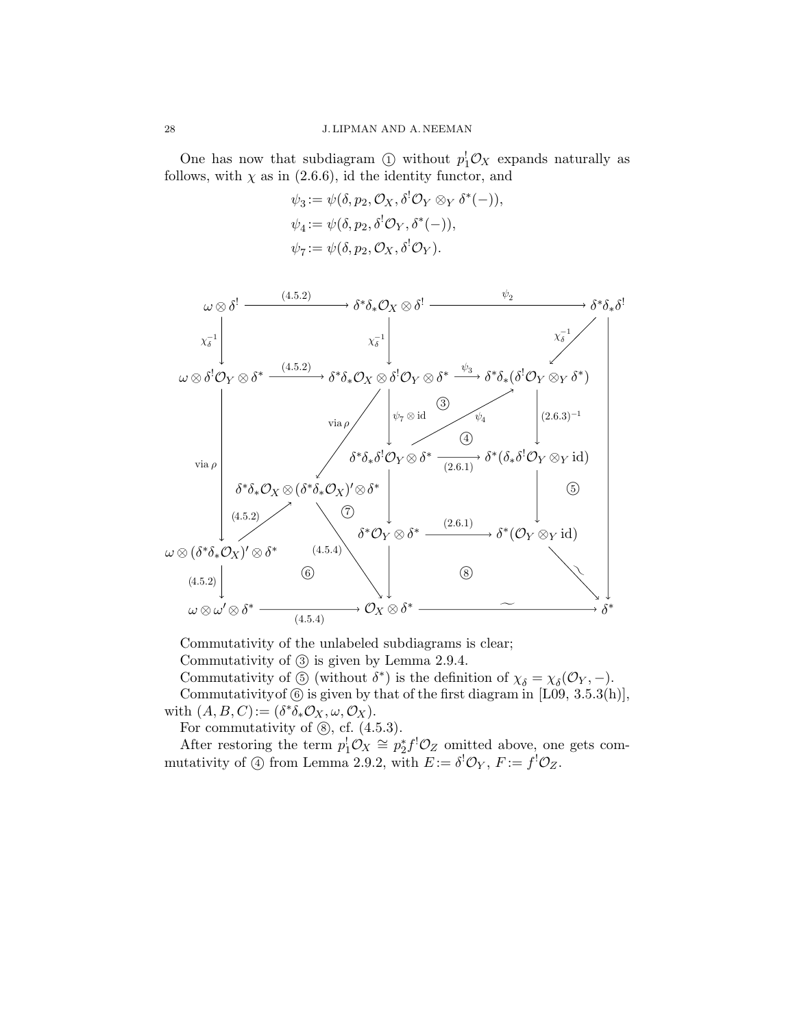One has now that subdiagram  $\textcircled{1}$  without  $p_1^{\dagger} \mathcal{O}_X$  expands naturally as follows, with  $\chi$  as in (2.6.6), id the identity functor, and

$$
\psi_3 := \psi(\delta, p_2, \mathcal{O}_X, \delta^! \mathcal{O}_Y \otimes_Y \delta^*(-)),
$$
  
\n
$$
\psi_4 := \psi(\delta, p_2, \delta^! \mathcal{O}_Y, \delta^*(-)),
$$
  
\n
$$
\psi_7 := \psi(\delta, p_2, \mathcal{O}_X, \delta^! \mathcal{O}_Y).
$$



Commutativity of the unlabeled subdiagrams is clear;

Commutativity of 3 is given by Lemma 2.9.4.

Commutativity of  $\circledS$  (without  $\delta^*$ ) is the definition of  $\chi_{\delta} = \chi_{\delta}(\mathcal{O}_Y, -)$ .

Commutativity of  $\circledS$  is given by that of the first diagram in [L09, 3.5.3(h)], with  $(A, B, C) := (\delta^* \delta_* \mathcal{O}_X, \omega, \mathcal{O}_X).$ 

For commutativity of  $\circledS$ , cf.  $(4.5.3)$ .

After restoring the term  $p_1^{\dagger} \mathcal{O}_X \cong p_2^* f^{\dagger} \mathcal{O}_Z$  omitted above, one gets commutativity of  $\textcircled{4}$  from Lemma 2.9.2, with  $E := \delta^! \mathcal{O}_Y, F := f^! \mathcal{O}_Z$ .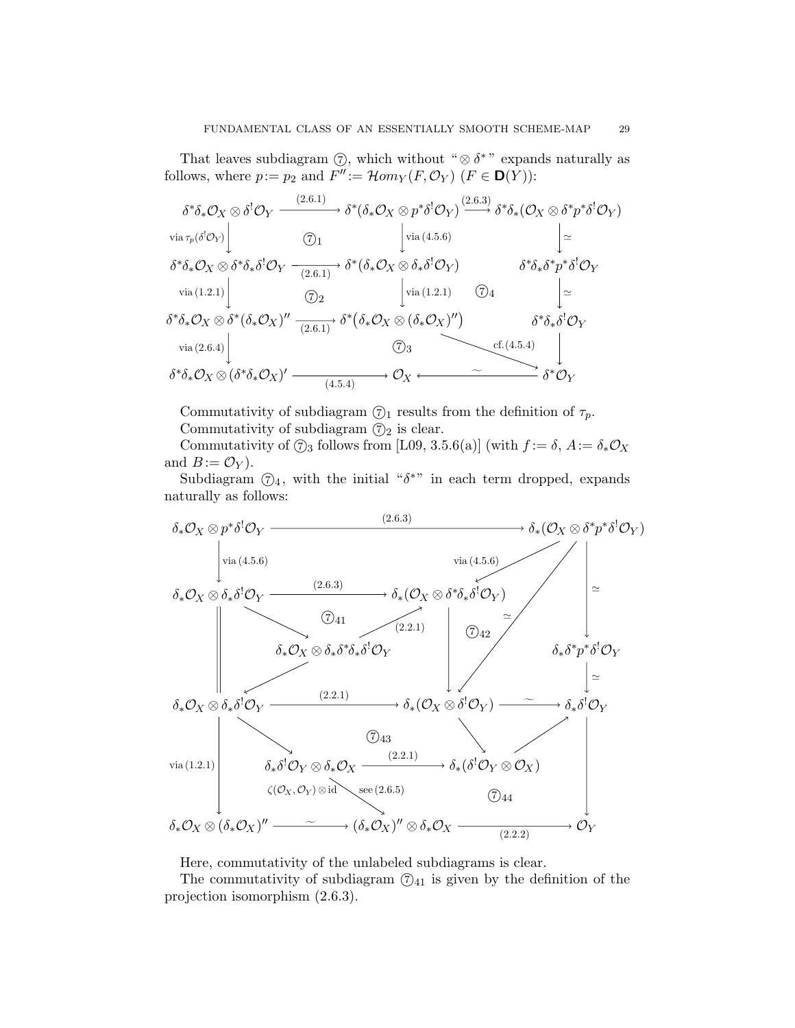That leaves subdiagram  $\circled{7}$ , which without " $\circled{8}$   $\delta$ " expands naturally as follows, where  $p := p_2$  and  $F'' := \mathcal{H}om_Y(F, \mathcal{O}_Y)$   $(F \in \mathbf{D}(Y))$ :

$$
\delta^*\delta_*\mathcal{O}_X \otimes \delta^!\mathcal{O}_Y \xrightarrow{(2.6.1)} \delta^*(\delta_*\mathcal{O}_X \otimes p^*\delta^!\mathcal{O}_Y) \xrightarrow{\text{via } \tau_p(\delta^!\mathcal{O}_Y)} \begin{bmatrix} \text{via } \tau_p(\delta^!\mathcal{O}_Y) \\ \text{via } \tau_p(\delta^!\mathcal{O}_Y) \end{bmatrix} \xrightarrow{\text{via } (\delta_*\mathcal{O}_X \otimes p^*\delta^!\mathcal{O}_Y) \xrightarrow{\text{via } (\mathbf{4.5.6})} \begin{bmatrix} \text{via } (\mathbf{4.5.6}) \\ \text{via } (\mathbf{4.5.6}) \end{bmatrix} \xrightarrow{\text{via } (\mathbf{4.5.6})} \begin{bmatrix} \text{via } (\mathbf{4.5.6}) \\ \text{via } (\mathbf{4.5.6}) \end{bmatrix} \xrightarrow{\text{via } (\mathbf{4.5.6})} \begin{bmatrix} \text{via } (\mathbf{4.5.6}) \\ \text{via } (\mathbf{4.5.6}) \end{bmatrix} \begin{bmatrix} \text{via } (\mathbf{4.5.6}) \\ \text{via } (\mathbf{4.5.6}) \end{bmatrix} \xrightarrow{\text{via } (\mathbf{4.5.7})} \delta^*(\delta_*\mathcal{O}_X \otimes \delta_*\delta^!\mathcal{O}_Y) \xrightarrow{\text{via } (\mathbf{4.5.4})} \begin{bmatrix} \text{via } (\mathbf{4.5.4}) \\ \text{via } (\mathbf{4.5.4}) \end{bmatrix} \begin{bmatrix} \text{via } (\mathbf{4.5.4}) \\ \text{via } (\mathbf{4.5.4}) \end{bmatrix} \begin{bmatrix} \text{via } (\mathbf{4.5.4}) \\ \text{via } (\mathbf{4.5.4}) \end{bmatrix} \begin{bmatrix} \text{via } (\mathbf{4.5.4}) \\ \text{via } (\mathbf{4.5.4}) \end{bmatrix}
$$

Commutativity of subdiagram  $\mathcal{O}_1$  results from the definition of  $\tau_p$ . Commutativity of subdiagram  $\mathcal{D}_2$  is clear.

Commutativity of  $\textcircled{7}_3$  follows from [L09, 3.5.6(a)] (with  $f := \delta$ ,  $A := \delta_* \mathcal{O}_X$ and  $B := \mathcal{O}_Y$ .

Subdiagram  $\mathcal{O}_4$ , with the initial " $\delta^{*}$ " in each term dropped, expands naturally as follows:



Here, commutativity of the unlabeled subdiagrams is clear.

The commutativity of subdiagram  $(7)<sub>41</sub>$  is given by the definition of the projection isomorphism (2.6.3).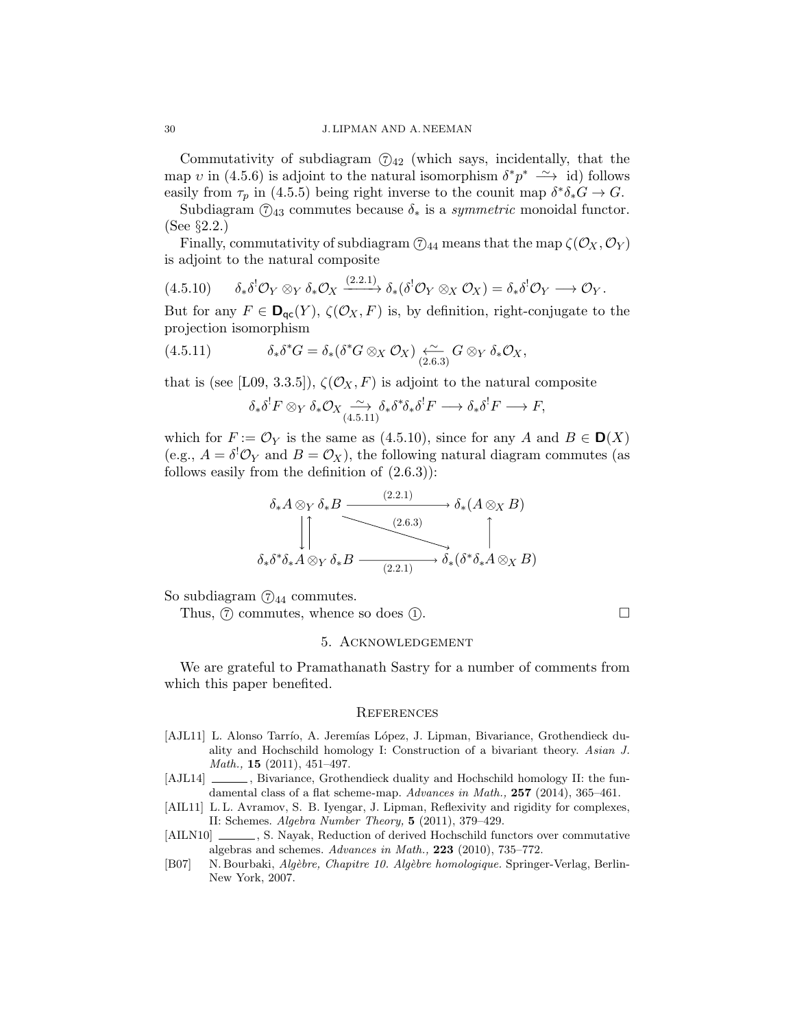Commutativity of subdiagram  $(7)<sub>42</sub>$  (which says, incidentally, that the map v in (4.5.6) is adjoint to the natural isomorphism  $\delta^* p^* \longrightarrow \text{id}$  follows easily from  $\tau_p$  in (4.5.5) being right inverse to the counit map  $\delta^* \delta_* G \to G$ .

Subdiagram  $\mathcal{O}_{43}$  commutes because  $\delta_*$  is a *symmetric* monoidal functor. (See §2.2.)

Finally, commutativity of subdiagram  $\mathcal{O}_{44}$  means that the map  $\zeta(\mathcal{O}_X, \mathcal{O}_Y)$ is adjoint to the natural composite

$$
(4.5.10) \qquad \delta_*\delta^!\mathcal{O}_Y\otimes_Y\delta_*\mathcal{O}_X \xrightarrow{(2.2.1)} \delta_*(\delta^!\mathcal{O}_Y\otimes_X\mathcal{O}_X)=\delta_*\delta^!\mathcal{O}_Y \longrightarrow \mathcal{O}_Y.
$$

But for any  $F \in \mathbf{D}_{\mathsf{qc}}(Y)$ ,  $\zeta(\mathcal{O}_X, F)$  is, by definition, right-conjugate to the projection isomorphism

(4.5.11) 
$$
\delta_* \delta^* G = \delta_* (\delta^* G \otimes_X \mathcal{O}_X) \underset{(2.6.3)}{\longleftrightarrow} G \otimes_Y \delta_* \mathcal{O}_X,
$$

that is (see [L09, 3.3.5]),  $\zeta(\mathcal{O}_X, F)$  is adjoint to the natural composite

$$
\delta_*\delta^! F \otimes_Y \delta_* \mathcal{O}_X \underset{(4.5.11)}{\sim} \delta_*\delta^* \delta_*\delta^! F \longrightarrow \delta_*\delta^! F \longrightarrow F,
$$

which for  $F := \mathcal{O}_Y$  is the same as (4.5.10), since for any A and  $B \in \mathbf{D}(X)$ (e.g.,  $A = \delta^! \mathcal{O}_Y$  and  $B = \mathcal{O}_X$ ), the following natural diagram commutes (as follows easily from the definition of  $(2.6.3)$ :

$$
\delta_* A \otimes_Y \delta_* B \xrightarrow{\qquad (2.2.1)} \delta_* (A \otimes_X B)
$$
\n
$$
\downarrow \uparrow
$$
\n
$$
\delta_* \delta^* \delta_* A \otimes_Y \delta_* B \xrightarrow{\qquad (2.2.1)} \delta_* (\delta^* \delta_* A \otimes_X B)
$$

So subdiagram  $\textcircled{7}_{44}$  commutes.

Thus,  $\circled{7}$  commutes, whence so does  $\circled{1}$ .

## 5. Acknowledgement

We are grateful to Pramathanath Sastry for a number of comments from which this paper benefited.

#### **REFERENCES**

- [AJL11] L. Alonso Tarrío, A. Jeremías López, J. Lipman, Bivariance, Grothendieck duality and Hochschild homology I: Construction of a bivariant theory. Asian J. Math., 15 (2011), 451–497.
- [AJL14]  $\qquad \qquad$ , Bivariance, Grothendieck duality and Hochschild homology II: the fundamental class of a flat scheme-map. Advances in Math., 257 (2014), 365-461.
- [AIL11] L.L. Avramov, S. B. Iyengar, J. Lipman, Reflexivity and rigidity for complexes, II: Schemes. Algebra Number Theory, 5 (2011), 379–429.
- [AILN10]  $\ldots$ , S. Nayak, Reduction of derived Hochschild functors over commutative algebras and schemes.  $Advances$  in Math.,  $223$  (2010), 735–772.
- [B07] N. Bourbaki, Algèbre, Chapitre 10. Algèbre homologique. Springer-Verlag, Berlin-New York, 2007.